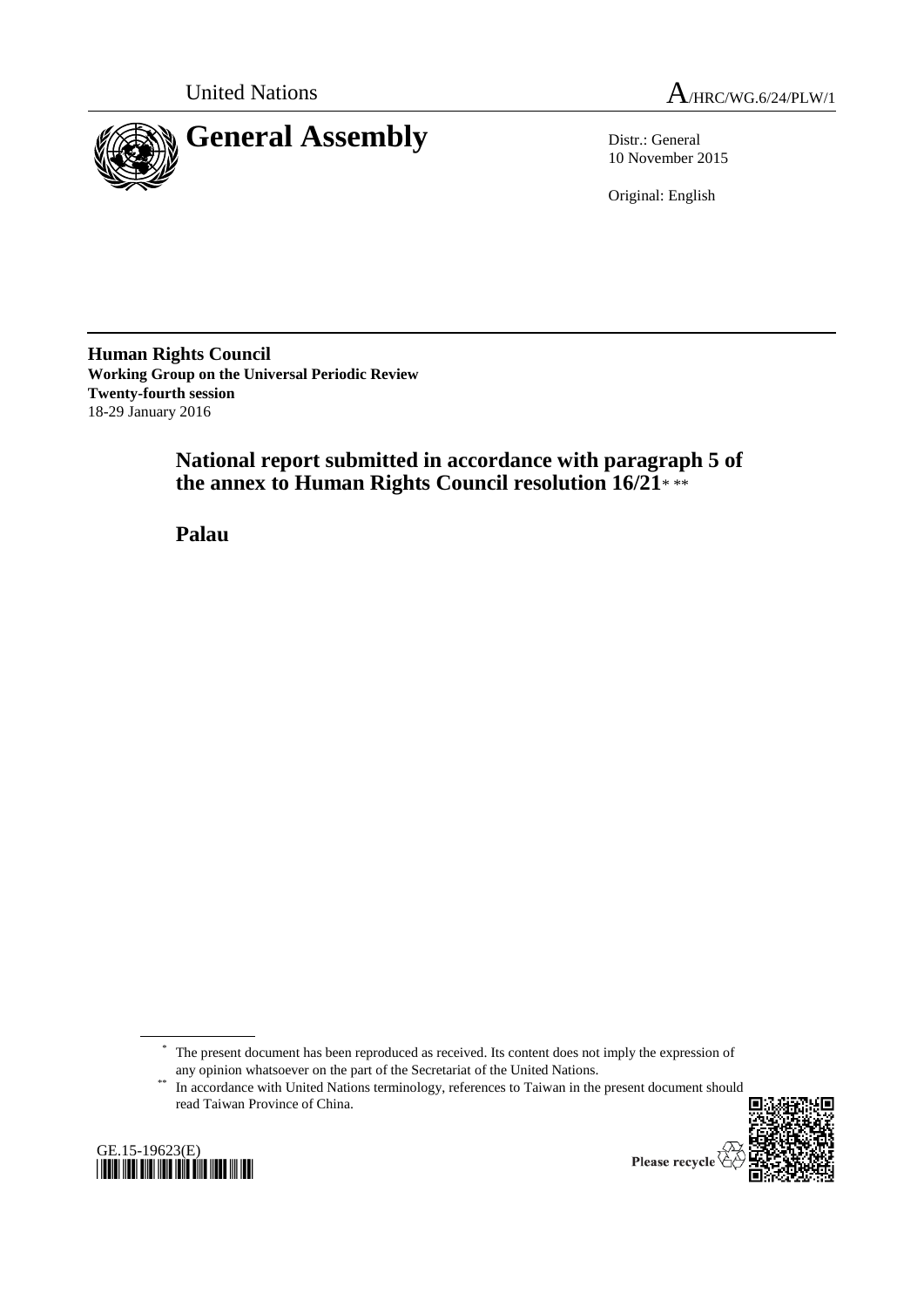

United Nations  $A_{HRC/WG.6/24/PLW/1}$ 

10 November 2015

Original: English

**Human Rights Council Working Group on the Universal Periodic Review Twenty-fourth session** 18-29 January 2016

> **National report submitted in accordance with paragraph 5 of the annex to Human Rights Council resolution 16/21**\* \*\*

**Palau**

<sup>&</sup>lt;sup>\*\*</sup> In accordance with United Nations terminology, references to Taiwan in the present document should read Taiwan Province of China.





Please recycle

<sup>\*</sup> The present document has been reproduced as received. Its content does not imply the expression of any opinion whatsoever on the part of the Secretariat of the United Nations.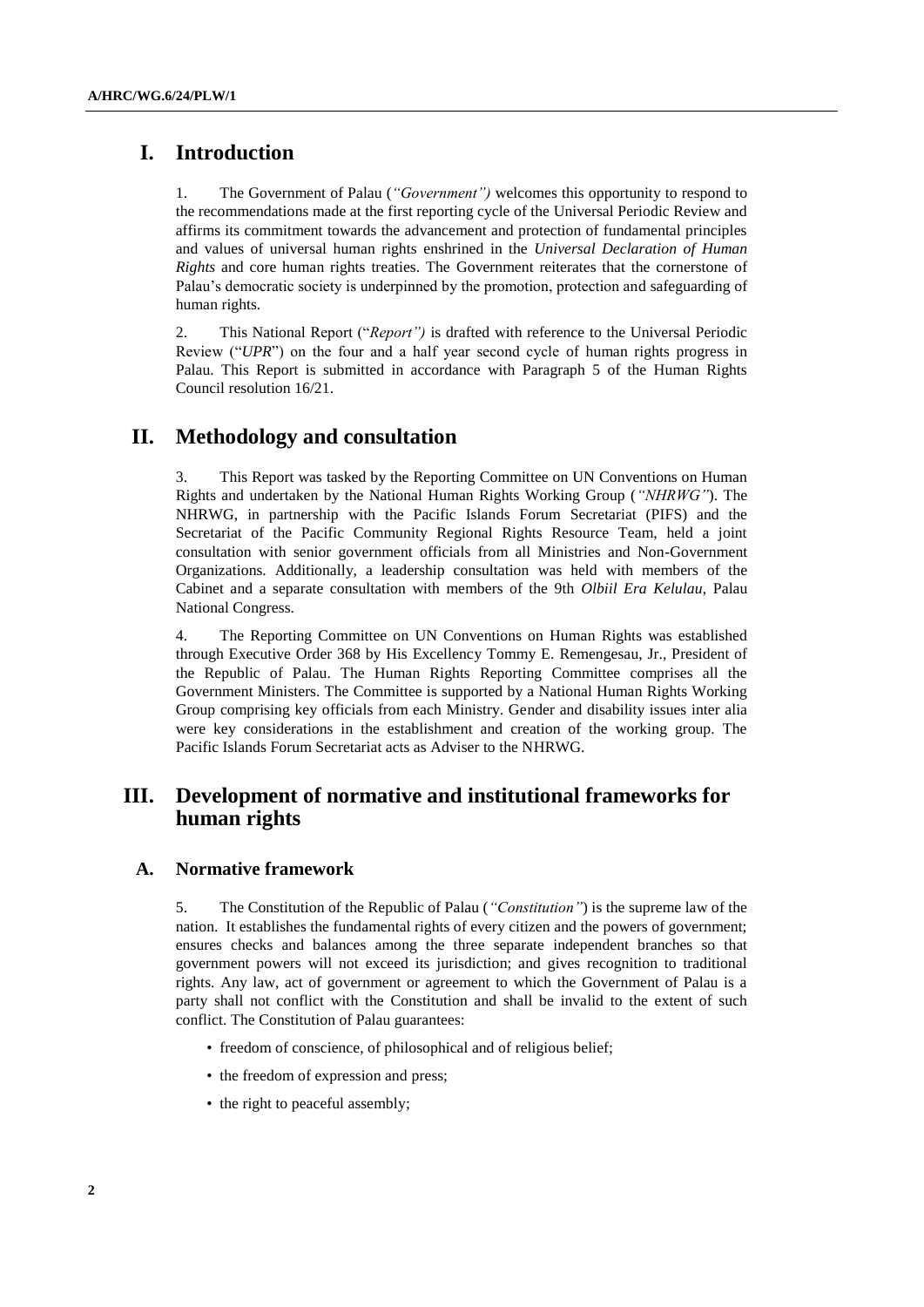# **I. Introduction**

1. The Government of Palau (*"Government")* welcomes this opportunity to respond to the recommendations made at the first reporting cycle of the Universal Periodic Review and affirms its commitment towards the advancement and protection of fundamental principles and values of universal human rights enshrined in the *Universal Declaration of Human Rights* and core human rights treaties. The Government reiterates that the cornerstone of Palau's democratic society is underpinned by the promotion, protection and safeguarding of human rights.

2. This National Report ("*Report")* is drafted with reference to the Universal Periodic Review ("*UPR*") on the four and a half year second cycle of human rights progress in Palau. This Report is submitted in accordance with Paragraph 5 of the Human Rights Council resolution 16/21.

## **II. Methodology and consultation**

This Report was tasked by the Reporting Committee on UN Conventions on Human Rights and undertaken by the National Human Rights Working Group (*"NHRWG"*). The NHRWG, in partnership with the Pacific Islands Forum Secretariat (PIFS) and the Secretariat of the Pacific Community Regional Rights Resource Team, held a joint consultation with senior government officials from all Ministries and Non-Government Organizations. Additionally, a leadership consultation was held with members of the Cabinet and a separate consultation with members of the 9th *Olbiil Era Kelulau*, Palau National Congress.

4. The Reporting Committee on UN Conventions on Human Rights was established through Executive Order 368 by His Excellency Tommy E. Remengesau, Jr., President of the Republic of Palau. The Human Rights Reporting Committee comprises all the Government Ministers. The Committee is supported by a National Human Rights Working Group comprising key officials from each Ministry. Gender and disability issues inter alia were key considerations in the establishment and creation of the working group. The Pacific Islands Forum Secretariat acts as Adviser to the NHRWG.

# **III. Development of normative and institutional frameworks for human rights**

## **A. Normative framework**

5. The Constitution of the Republic of Palau (*"Constitution"*) is the supreme law of the nation. It establishes the fundamental rights of every citizen and the powers of government; ensures checks and balances among the three separate independent branches so that government powers will not exceed its jurisdiction; and gives recognition to traditional rights. Any law, act of government or agreement to which the Government of Palau is a party shall not conflict with the Constitution and shall be invalid to the extent of such conflict. The Constitution of Palau guarantees:

- freedom of conscience, of philosophical and of religious belief;
- the freedom of expression and press;
- the right to peaceful assembly;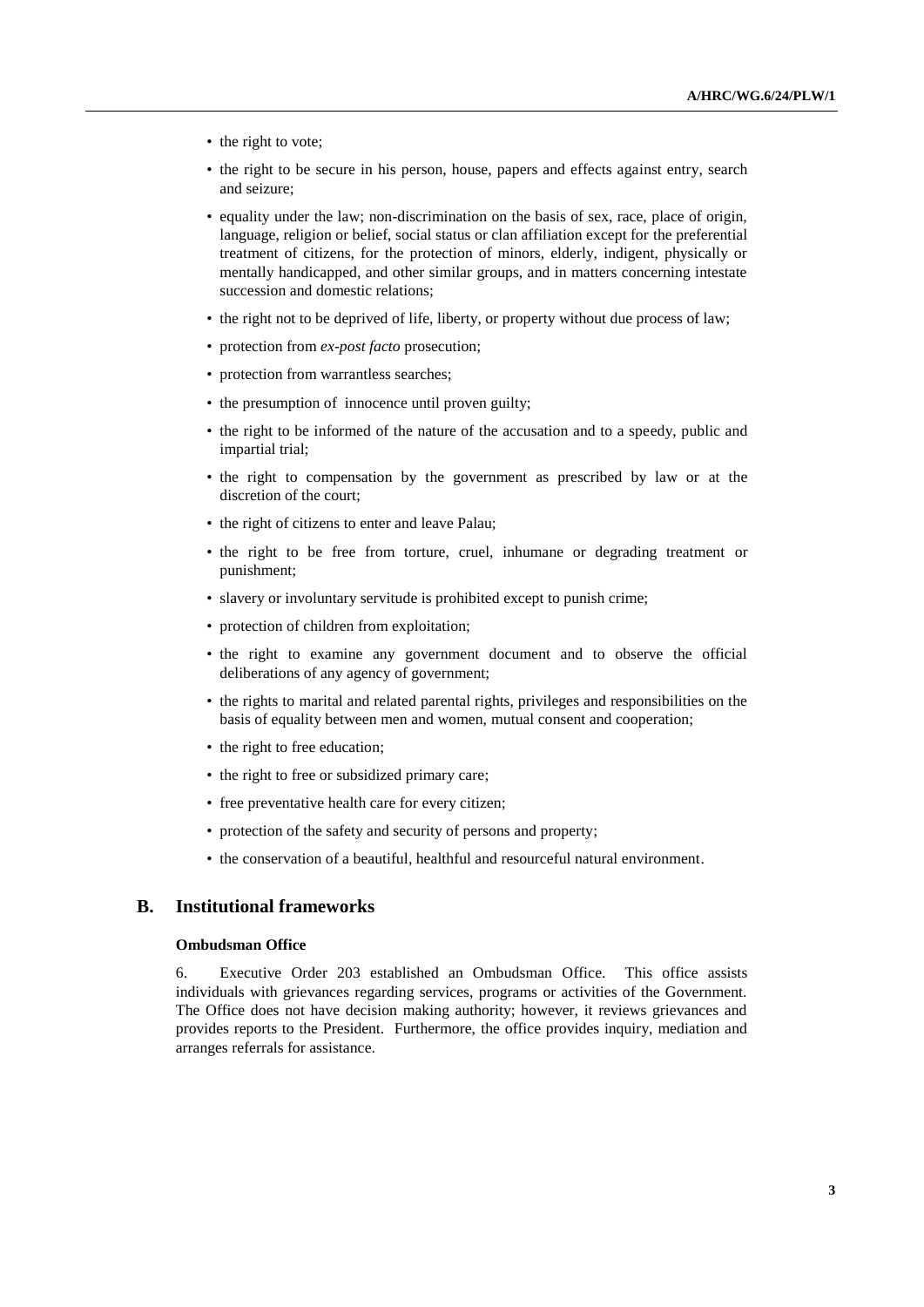- the right to vote;
- the right to be secure in his person, house, papers and effects against entry, search and seizure;
- equality under the law; non-discrimination on the basis of sex, race, place of origin, language, religion or belief, social status or clan affiliation except for the preferential treatment of citizens, for the protection of minors, elderly, indigent, physically or mentally handicapped, and other similar groups, and in matters concerning intestate succession and domestic relations;
- the right not to be deprived of life, liberty, or property without due process of law;
- protection from *ex-post facto* prosecution;
- protection from warrantless searches;
- the presumption of innocence until proven guilty;
- the right to be informed of the nature of the accusation and to a speedy, public and impartial trial;
- the right to compensation by the government as prescribed by law or at the discretion of the court;
- the right of citizens to enter and leave Palau;
- the right to be free from torture, cruel, inhumane or degrading treatment or punishment;
- slavery or involuntary servitude is prohibited except to punish crime;
- protection of children from exploitation;
- the right to examine any government document and to observe the official deliberations of any agency of government;
- the rights to marital and related parental rights, privileges and responsibilities on the basis of equality between men and women, mutual consent and cooperation;
- the right to free education;
- the right to free or subsidized primary care;
- free preventative health care for every citizen;
- protection of the safety and security of persons and property;
- the conservation of a beautiful, healthful and resourceful natural environment.

## **B. Institutional frameworks**

#### **Ombudsman Office**

6. Executive Order 203 established an Ombudsman Office. This office assists individuals with grievances regarding services, programs or activities of the Government. The Office does not have decision making authority; however, it reviews grievances and provides reports to the President. Furthermore, the office provides inquiry, mediation and arranges referrals for assistance.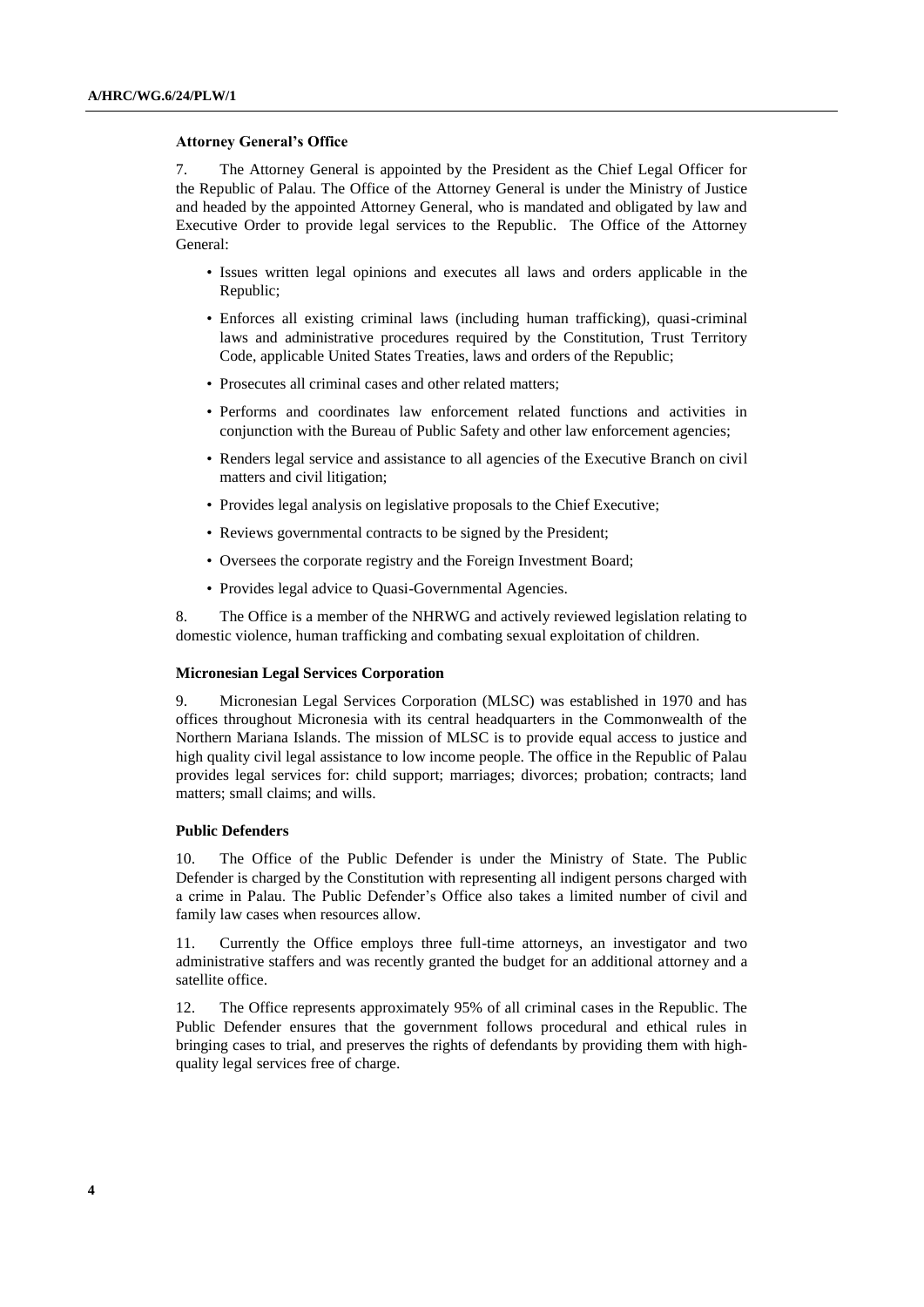#### **Attorney General's Office**

7. The Attorney General is appointed by the President as the Chief Legal Officer for the Republic of Palau. The Office of the Attorney General is under the Ministry of Justice and headed by the appointed Attorney General, who is mandated and obligated by law and Executive Order to provide legal services to the Republic. The Office of the Attorney General:

- Issues written legal opinions and executes all laws and orders applicable in the Republic;
- Enforces all existing criminal laws (including human trafficking), quasi-criminal laws and administrative procedures required by the Constitution, Trust Territory Code, applicable United States Treaties, laws and orders of the Republic;
- Prosecutes all criminal cases and other related matters;
- Performs and coordinates law enforcement related functions and activities in conjunction with the Bureau of Public Safety and other law enforcement agencies;
- Renders legal service and assistance to all agencies of the Executive Branch on civil matters and civil litigation;
- Provides legal analysis on legislative proposals to the Chief Executive;
- Reviews governmental contracts to be signed by the President;
- Oversees the corporate registry and the Foreign Investment Board;
- Provides legal advice to Quasi-Governmental Agencies.

8. The Office is a member of the NHRWG and actively reviewed legislation relating to domestic violence, human trafficking and combating sexual exploitation of children.

## **Micronesian Legal Services Corporation**

9. Micronesian Legal Services Corporation (MLSC) was established in 1970 and has offices throughout Micronesia with its central headquarters in the Commonwealth of the Northern Mariana Islands. The mission of MLSC is to provide equal access to justice and high quality civil legal assistance to low income people. The office in the Republic of Palau provides legal services for: child support; marriages; divorces; probation; contracts; land matters; small claims; and wills.

#### **Public Defenders**

10. The Office of the Public Defender is under the Ministry of State. The Public Defender is charged by the Constitution with representing all indigent persons charged with a crime in Palau. The Public Defender's Office also takes a limited number of civil and family law cases when resources allow.

11. Currently the Office employs three full-time attorneys, an investigator and two administrative staffers and was recently granted the budget for an additional attorney and a satellite office.

12. The Office represents approximately 95% of all criminal cases in the Republic. The Public Defender ensures that the government follows procedural and ethical rules in bringing cases to trial, and preserves the rights of defendants by providing them with highquality legal services free of charge.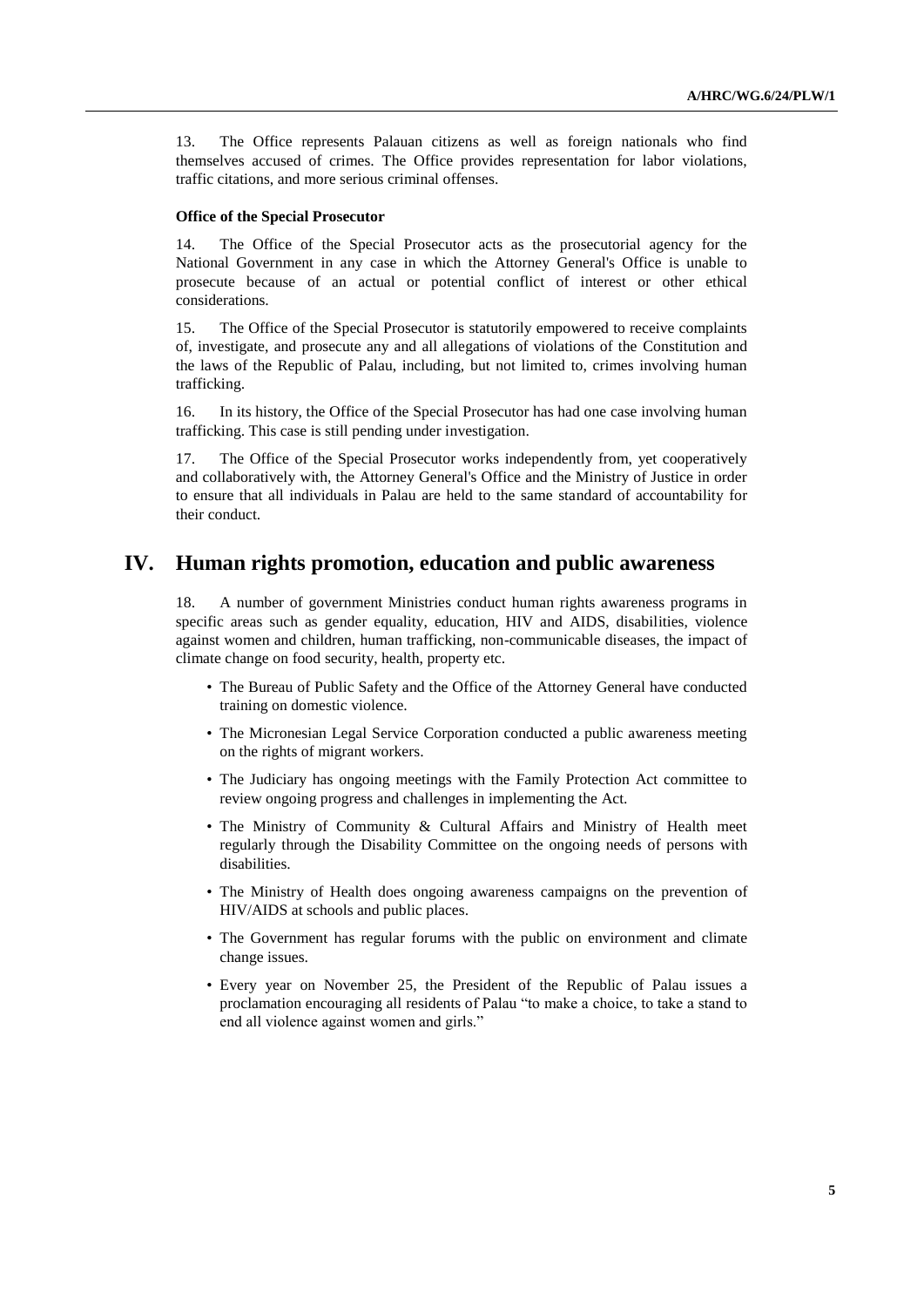13. The Office represents Palauan citizens as well as foreign nationals who find themselves accused of crimes. The Office provides representation for labor violations, traffic citations, and more serious criminal offenses.

#### **Office of the Special Prosecutor**

14. The Office of the Special Prosecutor acts as the prosecutorial agency for the National Government in any case in which the Attorney General's Office is unable to prosecute because of an actual or potential conflict of interest or other ethical considerations.

15. The Office of the Special Prosecutor is statutorily empowered to receive complaints of, investigate, and prosecute any and all allegations of violations of the Constitution and the laws of the Republic of Palau, including, but not limited to, crimes involving human trafficking.

16. In its history, the Office of the Special Prosecutor has had one case involving human trafficking. This case is still pending under investigation.

17. The Office of the Special Prosecutor works independently from, yet cooperatively and collaboratively with, the Attorney General's Office and the Ministry of Justice in order to ensure that all individuals in Palau are held to the same standard of accountability for their conduct.

## **IV. Human rights promotion, education and public awareness**

18. A number of government Ministries conduct human rights awareness programs in specific areas such as gender equality, education, HIV and AIDS, disabilities, violence against women and children, human trafficking, non-communicable diseases, the impact of climate change on food security, health, property etc.

- The Bureau of Public Safety and the Office of the Attorney General have conducted training on domestic violence.
- The Micronesian Legal Service Corporation conducted a public awareness meeting on the rights of migrant workers.
- The Judiciary has ongoing meetings with the Family Protection Act committee to review ongoing progress and challenges in implementing the Act.
- The Ministry of Community & Cultural Affairs and Ministry of Health meet regularly through the Disability Committee on the ongoing needs of persons with disabilities.
- The Ministry of Health does ongoing awareness campaigns on the prevention of HIV/AIDS at schools and public places.
- The Government has regular forums with the public on environment and climate change issues.
- Every year on November 25, the President of the Republic of Palau issues a proclamation encouraging all residents of Palau "to make a choice, to take a stand to end all violence against women and girls."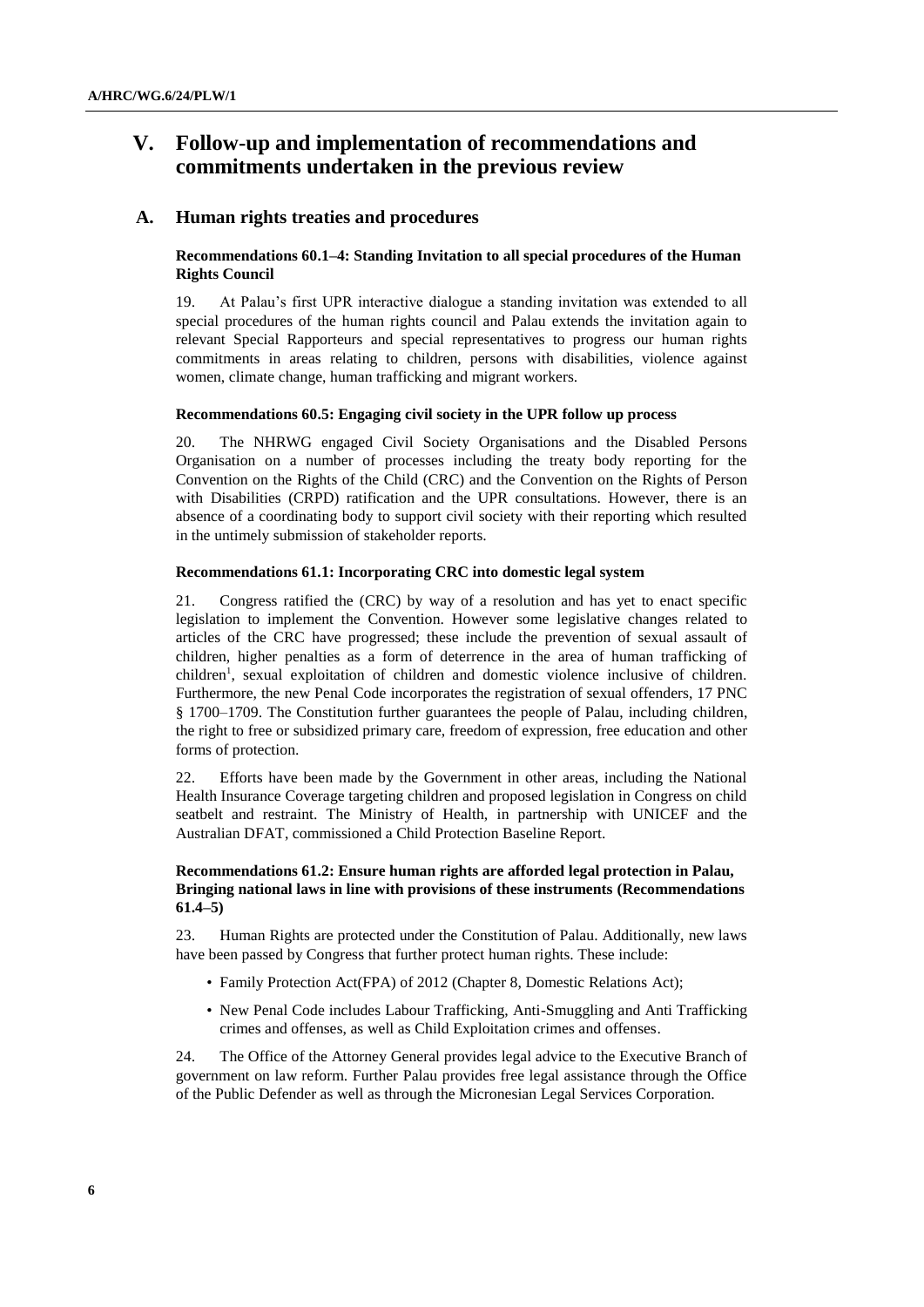# **V. Follow-up and implementation of recommendations and commitments undertaken in the previous review**

### **A. Human rights treaties and procedures**

## **Recommendations 60.1–4: Standing Invitation to all special procedures of the Human Rights Council**

19. At Palau's first UPR interactive dialogue a standing invitation was extended to all special procedures of the human rights council and Palau extends the invitation again to relevant Special Rapporteurs and special representatives to progress our human rights commitments in areas relating to children, persons with disabilities, violence against women, climate change, human trafficking and migrant workers.

#### **Recommendations 60.5: Engaging civil society in the UPR follow up process**

20. The NHRWG engaged Civil Society Organisations and the Disabled Persons Organisation on a number of processes including the treaty body reporting for the Convention on the Rights of the Child (CRC) and the Convention on the Rights of Person with Disabilities (CRPD) ratification and the UPR consultations. However, there is an absence of a coordinating body to support civil society with their reporting which resulted in the untimely submission of stakeholder reports.

### **Recommendations 61.1: Incorporating CRC into domestic legal system**

21. Congress ratified the (CRC) by way of a resolution and has yet to enact specific legislation to implement the Convention. However some legislative changes related to articles of the CRC have progressed; these include the prevention of sexual assault of children, higher penalties as a form of deterrence in the area of human trafficking of children<sup>1</sup>, sexual exploitation of children and domestic violence inclusive of children. Furthermore, the new Penal Code incorporates the registration of sexual offenders, 17 PNC § 1700–1709. The Constitution further guarantees the people of Palau, including children, the right to free or subsidized primary care, freedom of expression, free education and other forms of protection.

22. Efforts have been made by the Government in other areas, including the National Health Insurance Coverage targeting children and proposed legislation in Congress on child seatbelt and restraint. The Ministry of Health, in partnership with UNICEF and the Australian DFAT, commissioned a Child Protection Baseline Report.

### **Recommendations 61.2: Ensure human rights are afforded legal protection in Palau, Bringing national laws in line with provisions of these instruments (Recommendations 61.4–5)**

23. Human Rights are protected under the Constitution of Palau. Additionally, new laws have been passed by Congress that further protect human rights. These include:

- Family Protection Act(FPA) of 2012 (Chapter 8, Domestic Relations Act);
- New Penal Code includes Labour Trafficking, Anti-Smuggling and Anti Trafficking crimes and offenses, as well as Child Exploitation crimes and offenses.

24. The Office of the Attorney General provides legal advice to the Executive Branch of government on law reform. Further Palau provides free legal assistance through the Office of the Public Defender as well as through the Micronesian Legal Services Corporation.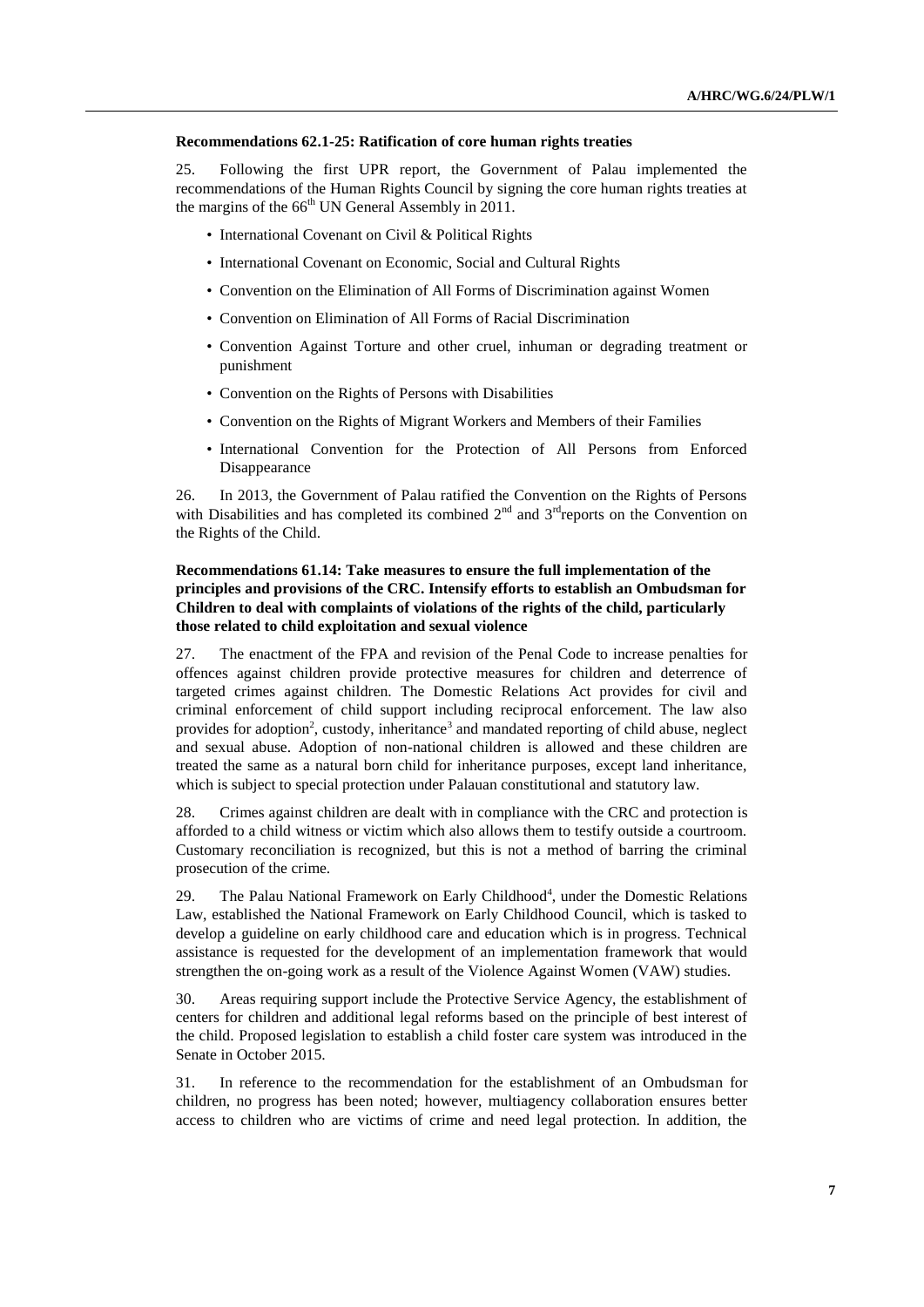#### **Recommendations 62.1-25: Ratification of core human rights treaties**

25. Following the first UPR report, the Government of Palau implemented the recommendations of the Human Rights Council by signing the core human rights treaties at the margins of the  $66<sup>th</sup>$  UN General Assembly in 2011.

- International Covenant on Civil & Political Rights
- International Covenant on Economic, Social and Cultural Rights
- Convention on the Elimination of All Forms of Discrimination against Women
- Convention on Elimination of All Forms of Racial Discrimination
- Convention Against Torture and other cruel, inhuman or degrading treatment or punishment
- Convention on the Rights of Persons with Disabilities
- Convention on the Rights of Migrant Workers and Members of their Families
- International Convention for the Protection of All Persons from Enforced Disappearance

26. In 2013, the Government of Palau ratified the Convention on the Rights of Persons with Disabilities and has completed its combined  $2<sup>nd</sup>$  and  $3<sup>rd</sup>$  reports on the Convention on the Rights of the Child.

## **Recommendations 61.14: Take measures to ensure the full implementation of the principles and provisions of the CRC. Intensify efforts to establish an Ombudsman for Children to deal with complaints of violations of the rights of the child, particularly those related to child exploitation and sexual violence**

27. The enactment of the FPA and revision of the Penal Code to increase penalties for offences against children provide protective measures for children and deterrence of targeted crimes against children. The Domestic Relations Act provides for civil and criminal enforcement of child support including reciprocal enforcement. The law also provides for adoption<sup>2</sup>, custody, inheritance<sup>3</sup> and mandated reporting of child abuse, neglect and sexual abuse. Adoption of non-national children is allowed and these children are treated the same as a natural born child for inheritance purposes, except land inheritance, which is subject to special protection under Palauan constitutional and statutory law.

28. Crimes against children are dealt with in compliance with the CRC and protection is afforded to a child witness or victim which also allows them to testify outside a courtroom. Customary reconciliation is recognized, but this is not a method of barring the criminal prosecution of the crime.

29. The Palau National Framework on Early Childhood<sup>4</sup>, under the Domestic Relations Law, established the National Framework on Early Childhood Council, which is tasked to develop a guideline on early childhood care and education which is in progress. Technical assistance is requested for the development of an implementation framework that would strengthen the on-going work as a result of the Violence Against Women (VAW) studies.

30. Areas requiring support include the Protective Service Agency, the establishment of centers for children and additional legal reforms based on the principle of best interest of the child. Proposed legislation to establish a child foster care system was introduced in the Senate in October 2015.

31. In reference to the recommendation for the establishment of an Ombudsman for children, no progress has been noted; however, multiagency collaboration ensures better access to children who are victims of crime and need legal protection. In addition, the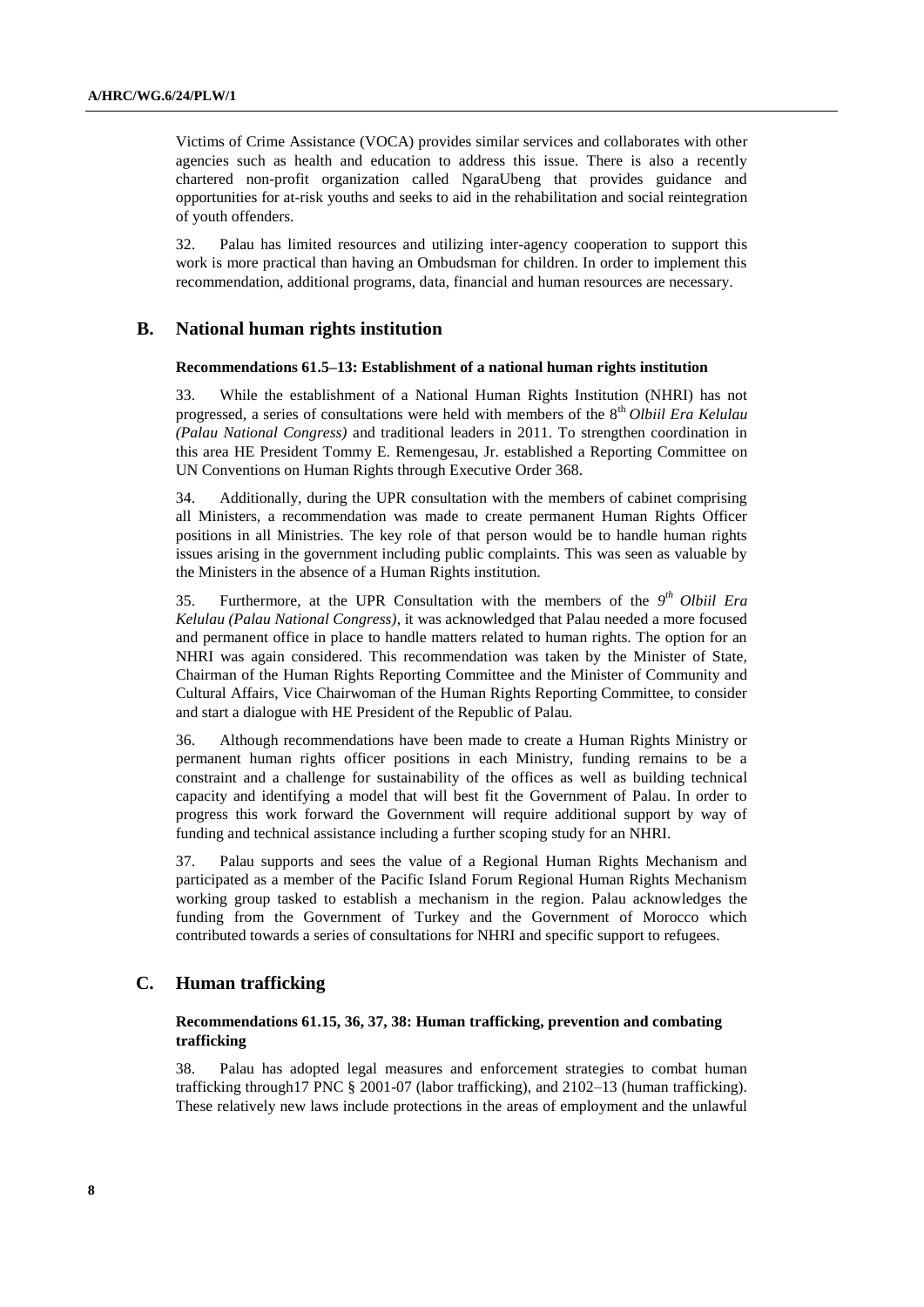Victims of Crime Assistance (VOCA) provides similar services and collaborates with other agencies such as health and education to address this issue. There is also a recently chartered non-profit organization called NgaraUbeng that provides guidance and opportunities for at-risk youths and seeks to aid in the rehabilitation and social reintegration of youth offenders.

32. Palau has limited resources and utilizing inter-agency cooperation to support this work is more practical than having an Ombudsman for children. In order to implement this recommendation, additional programs, data, financial and human resources are necessary.

### **B. National human rights institution**

#### **Recommendations 61.5–13: Establishment of a national human rights institution**

33. While the establishment of a National Human Rights Institution (NHRI) has not progressed, a series of consultations were held with members of the 8<sup>th</sup> *Olbiil Era Kelulau (Palau National Congress)* and traditional leaders in 2011. To strengthen coordination in this area HE President Tommy E. Remengesau, Jr. established a Reporting Committee on UN Conventions on Human Rights through Executive Order 368.

34. Additionally, during the UPR consultation with the members of cabinet comprising all Ministers, a recommendation was made to create permanent Human Rights Officer positions in all Ministries. The key role of that person would be to handle human rights issues arising in the government including public complaints. This was seen as valuable by the Ministers in the absence of a Human Rights institution.

35. Furthermore, at the UPR Consultation with the members of the 9<sup>th</sup> Olbiil Era *Kelulau (Palau National Congress)*, it was acknowledged that Palau needed a more focused and permanent office in place to handle matters related to human rights. The option for an NHRI was again considered. This recommendation was taken by the Minister of State, Chairman of the Human Rights Reporting Committee and the Minister of Community and Cultural Affairs, Vice Chairwoman of the Human Rights Reporting Committee, to consider and start a dialogue with HE President of the Republic of Palau.

36. Although recommendations have been made to create a Human Rights Ministry or permanent human rights officer positions in each Ministry, funding remains to be a constraint and a challenge for sustainability of the offices as well as building technical capacity and identifying a model that will best fit the Government of Palau. In order to progress this work forward the Government will require additional support by way of funding and technical assistance including a further scoping study for an NHRI.

37. Palau supports and sees the value of a Regional Human Rights Mechanism and participated as a member of the Pacific Island Forum Regional Human Rights Mechanism working group tasked to establish a mechanism in the region. Palau acknowledges the funding from the Government of Turkey and the Government of Morocco which contributed towards a series of consultations for NHRI and specific support to refugees.

## **C. Human trafficking**

#### **Recommendations 61.15, 36, 37, 38: Human trafficking, prevention and combating trafficking**

38. Palau has adopted legal measures and enforcement strategies to combat human trafficking through17 PNC § 2001-07 (labor trafficking), and 2102–13 (human trafficking). These relatively new laws include protections in the areas of employment and the unlawful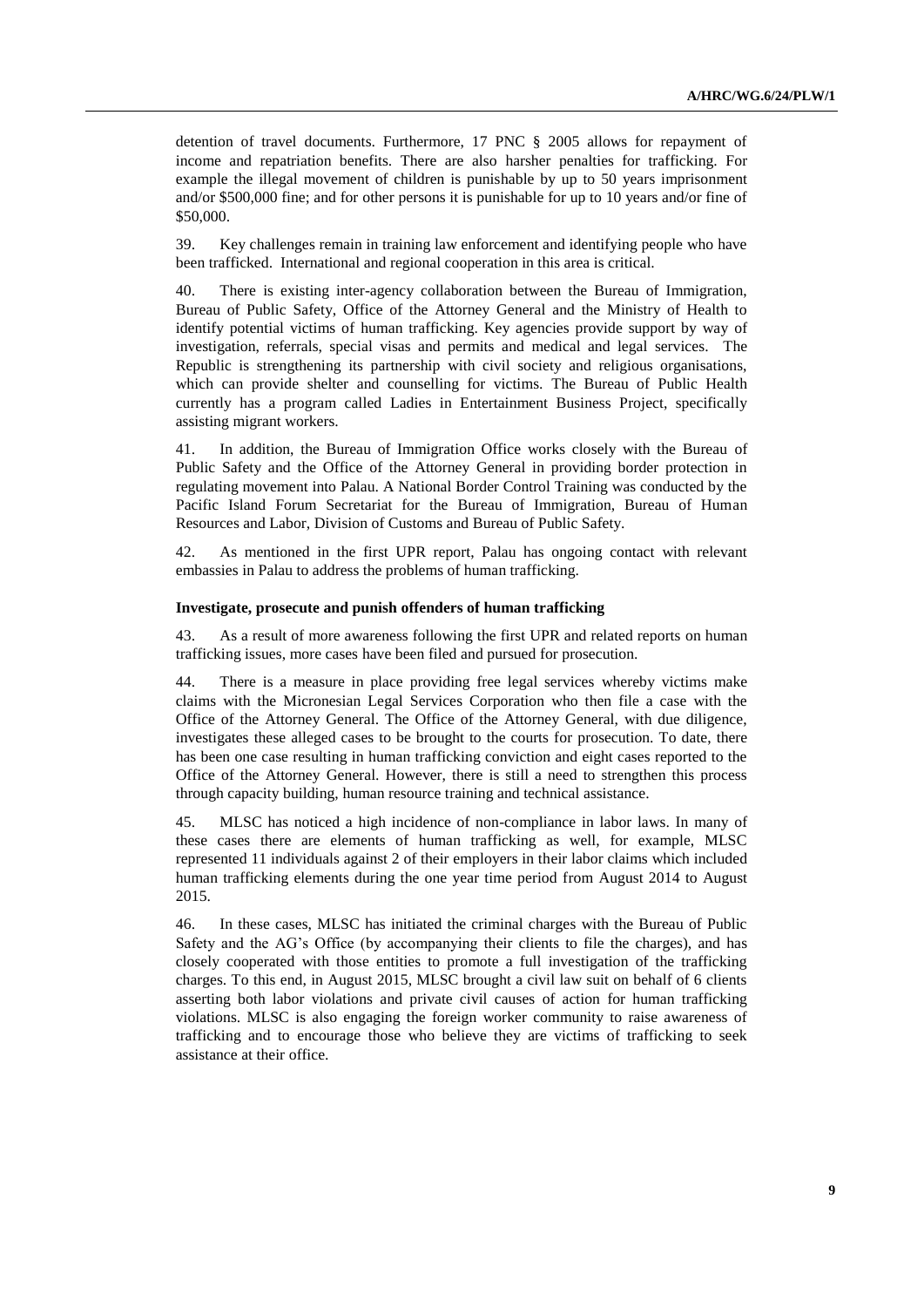detention of travel documents. Furthermore, 17 PNC § 2005 allows for repayment of income and repatriation benefits. There are also harsher penalties for trafficking. For example the illegal movement of children is punishable by up to 50 years imprisonment and/or \$500,000 fine; and for other persons it is punishable for up to 10 years and/or fine of \$50,000.

39. Key challenges remain in training law enforcement and identifying people who have been trafficked. International and regional cooperation in this area is critical.

40. There is existing inter-agency collaboration between the Bureau of Immigration, Bureau of Public Safety, Office of the Attorney General and the Ministry of Health to identify potential victims of human trafficking. Key agencies provide support by way of investigation, referrals, special visas and permits and medical and legal services. The Republic is strengthening its partnership with civil society and religious organisations, which can provide shelter and counselling for victims. The Bureau of Public Health currently has a program called Ladies in Entertainment Business Project, specifically assisting migrant workers.

41. In addition, the Bureau of Immigration Office works closely with the Bureau of Public Safety and the Office of the Attorney General in providing border protection in regulating movement into Palau. A National Border Control Training was conducted by the Pacific Island Forum Secretariat for the Bureau of Immigration, Bureau of Human Resources and Labor, Division of Customs and Bureau of Public Safety.

42. As mentioned in the first UPR report, Palau has ongoing contact with relevant embassies in Palau to address the problems of human trafficking.

## **Investigate, prosecute and punish offenders of human trafficking**

43. As a result of more awareness following the first UPR and related reports on human trafficking issues, more cases have been filed and pursued for prosecution.

44. There is a measure in place providing free legal services whereby victims make claims with the Micronesian Legal Services Corporation who then file a case with the Office of the Attorney General. The Office of the Attorney General, with due diligence, investigates these alleged cases to be brought to the courts for prosecution. To date, there has been one case resulting in human trafficking conviction and eight cases reported to the Office of the Attorney General. However, there is still a need to strengthen this process through capacity building, human resource training and technical assistance.

45. MLSC has noticed a high incidence of non-compliance in labor laws. In many of these cases there are elements of human trafficking as well, for example, MLSC represented 11 individuals against 2 of their employers in their labor claims which included human trafficking elements during the one year time period from August 2014 to August 2015.

46. In these cases, MLSC has initiated the criminal charges with the Bureau of Public Safety and the AG's Office (by accompanying their clients to file the charges), and has closely cooperated with those entities to promote a full investigation of the trafficking charges. To this end, in August 2015, MLSC brought a civil law suit on behalf of 6 clients asserting both labor violations and private civil causes of action for human trafficking violations. MLSC is also engaging the foreign worker community to raise awareness of trafficking and to encourage those who believe they are victims of trafficking to seek assistance at their office.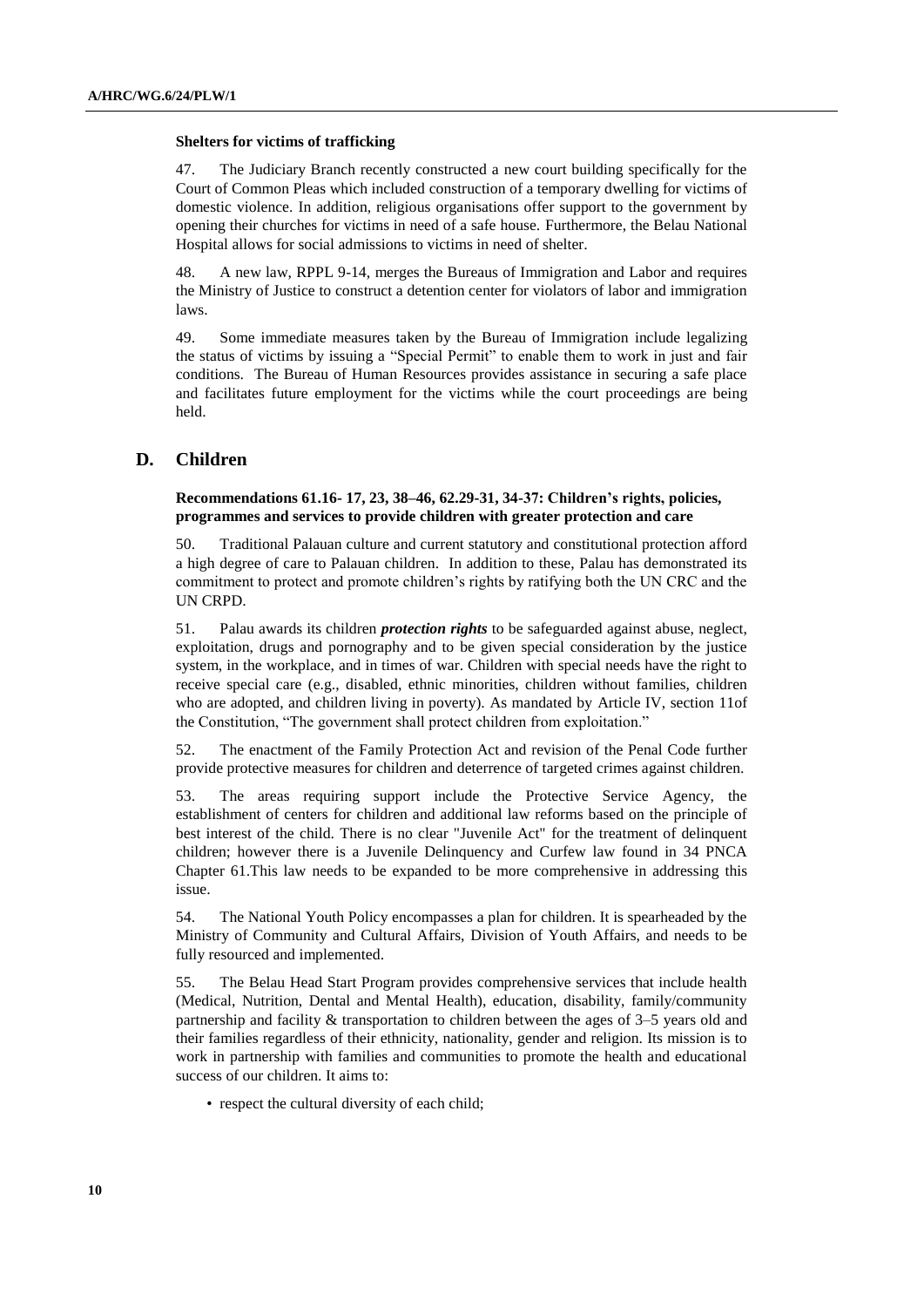#### **Shelters for victims of trafficking**

47. The Judiciary Branch recently constructed a new court building specifically for the Court of Common Pleas which included construction of a temporary dwelling for victims of domestic violence. In addition, religious organisations offer support to the government by opening their churches for victims in need of a safe house. Furthermore, the Belau National Hospital allows for social admissions to victims in need of shelter.

48. A new law, RPPL 9-14, merges the Bureaus of Immigration and Labor and requires the Ministry of Justice to construct a detention center for violators of labor and immigration laws.

49. Some immediate measures taken by the Bureau of Immigration include legalizing the status of victims by issuing a "Special Permit" to enable them to work in just and fair conditions. The Bureau of Human Resources provides assistance in securing a safe place and facilitates future employment for the victims while the court proceedings are being held.

## **D. Children**

#### **Recommendations 61.16- 17, 23, 38–46, 62.29-31, 34-37: Children's rights, policies, programmes and services to provide children with greater protection and care**

50. Traditional Palauan culture and current statutory and constitutional protection afford a high degree of care to Palauan children. In addition to these, Palau has demonstrated its commitment to protect and promote children's rights by ratifying both the UN CRC and the UN CRPD.

51. Palau awards its children *protection rights* to be safeguarded against abuse, neglect, exploitation, drugs and pornography and to be given special consideration by the justice system, in the workplace, and in times of war. Children with special needs have the right to receive special care (e.g., disabled, ethnic minorities, children without families, children who are adopted, and children living in poverty). As mandated by Article IV, section 11of the Constitution, "The government shall protect children from exploitation."

52. The enactment of the Family Protection Act and revision of the Penal Code further provide protective measures for children and deterrence of targeted crimes against children.

53. The areas requiring support include the Protective Service Agency, the establishment of centers for children and additional law reforms based on the principle of best interest of the child. There is no clear "Juvenile Act" for the treatment of delinquent children; however there is a Juvenile Delinquency and Curfew law found in 34 PNCA Chapter 61.This law needs to be expanded to be more comprehensive in addressing this issue.

54. The National Youth Policy encompasses a plan for children. It is spearheaded by the Ministry of Community and Cultural Affairs, Division of Youth Affairs, and needs to be fully resourced and implemented.

55. The Belau Head Start Program provides comprehensive services that include health (Medical, Nutrition, Dental and Mental Health), education, disability, family/community partnership and facility & transportation to children between the ages of 3–5 years old and their families regardless of their ethnicity, nationality, gender and religion. Its mission is to work in partnership with families and communities to promote the health and educational success of our children. It aims to:

• respect the cultural diversity of each child;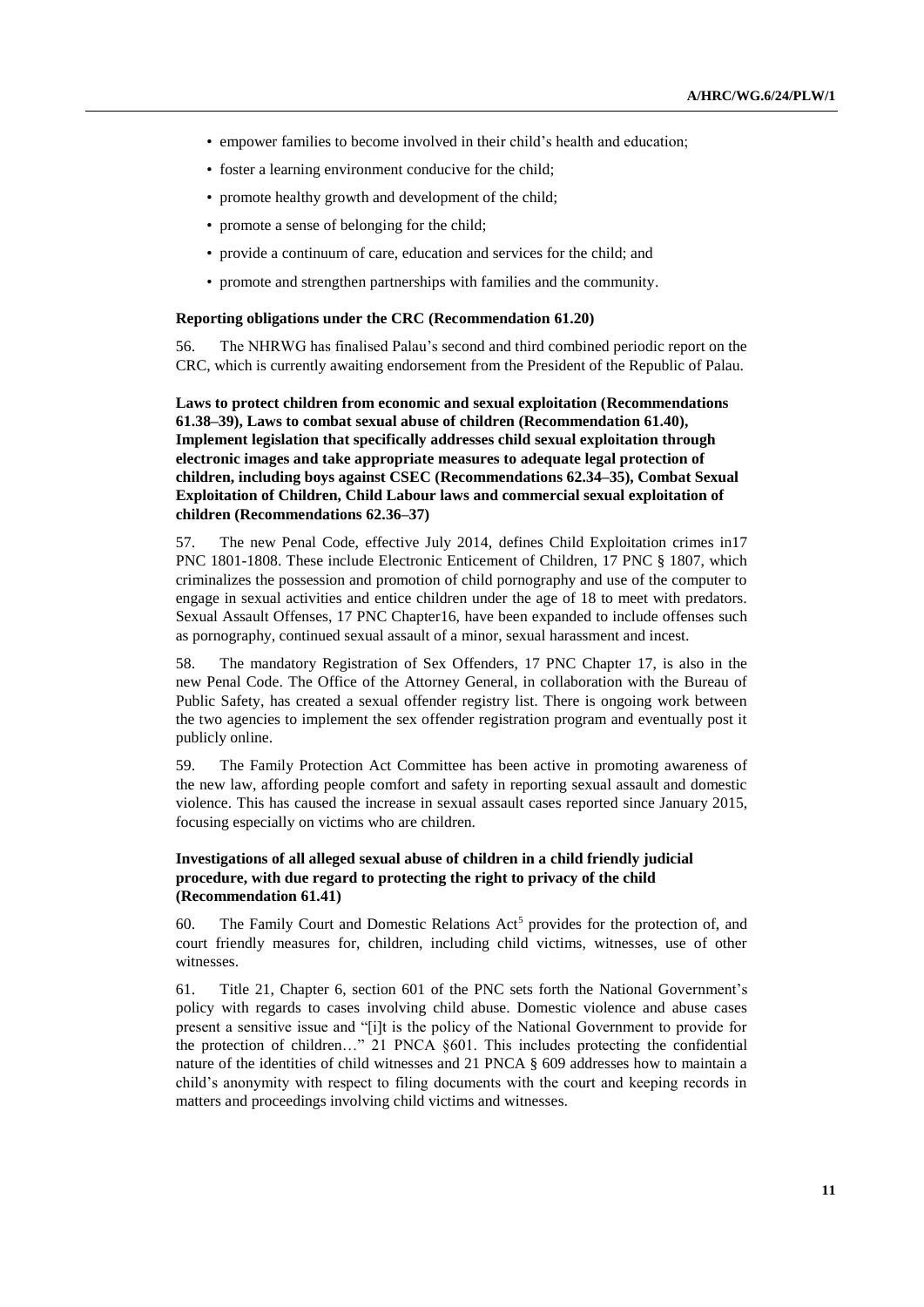- empower families to become involved in their child's health and education;
- foster a learning environment conducive for the child;
- promote healthy growth and development of the child;
- promote a sense of belonging for the child;
- provide a continuum of care, education and services for the child; and
- promote and strengthen partnerships with families and the community.

#### **Reporting obligations under the CRC (Recommendation 61.20)**

56. The NHRWG has finalised Palau's second and third combined periodic report on the CRC, which is currently awaiting endorsement from the President of the Republic of Palau.

**Laws to protect children from economic and sexual exploitation (Recommendations 61.38–39), Laws to combat sexual abuse of children (Recommendation 61.40), Implement legislation that specifically addresses child sexual exploitation through electronic images and take appropriate measures to adequate legal protection of children, including boys against CSEC (Recommendations 62.34–35), Combat Sexual Exploitation of Children, Child Labour laws and commercial sexual exploitation of children (Recommendations 62.36–37)**

57. The new Penal Code, effective July 2014, defines Child Exploitation crimes in17 PNC 1801-1808. These include Electronic Enticement of Children, 17 PNC § 1807, which criminalizes the possession and promotion of child pornography and use of the computer to engage in sexual activities and entice children under the age of 18 to meet with predators. Sexual Assault Offenses, 17 PNC Chapter16, have been expanded to include offenses such as pornography, continued sexual assault of a minor, sexual harassment and incest.

58. The mandatory Registration of Sex Offenders, 17 PNC Chapter 17, is also in the new Penal Code. The Office of the Attorney General, in collaboration with the Bureau of Public Safety, has created a sexual offender registry list. There is ongoing work between the two agencies to implement the sex offender registration program and eventually post it publicly online.

59. The Family Protection Act Committee has been active in promoting awareness of the new law, affording people comfort and safety in reporting sexual assault and domestic violence. This has caused the increase in sexual assault cases reported since January 2015, focusing especially on victims who are children.

## **Investigations of all alleged sexual abuse of children in a child friendly judicial procedure, with due regard to protecting the right to privacy of the child (Recommendation 61.41)**

60. The Family Court and Domestic Relations Act<sup>5</sup> provides for the protection of, and court friendly measures for, children, including child victims, witnesses, use of other witnesses.

61. Title 21, Chapter 6, section 601 of the PNC sets forth the National Government's policy with regards to cases involving child abuse. Domestic violence and abuse cases present a sensitive issue and "[i]t is the policy of the National Government to provide for the protection of children…" 21 PNCA §601. This includes protecting the confidential nature of the identities of child witnesses and 21 PNCA § 609 addresses how to maintain a child's anonymity with respect to filing documents with the court and keeping records in matters and proceedings involving child victims and witnesses.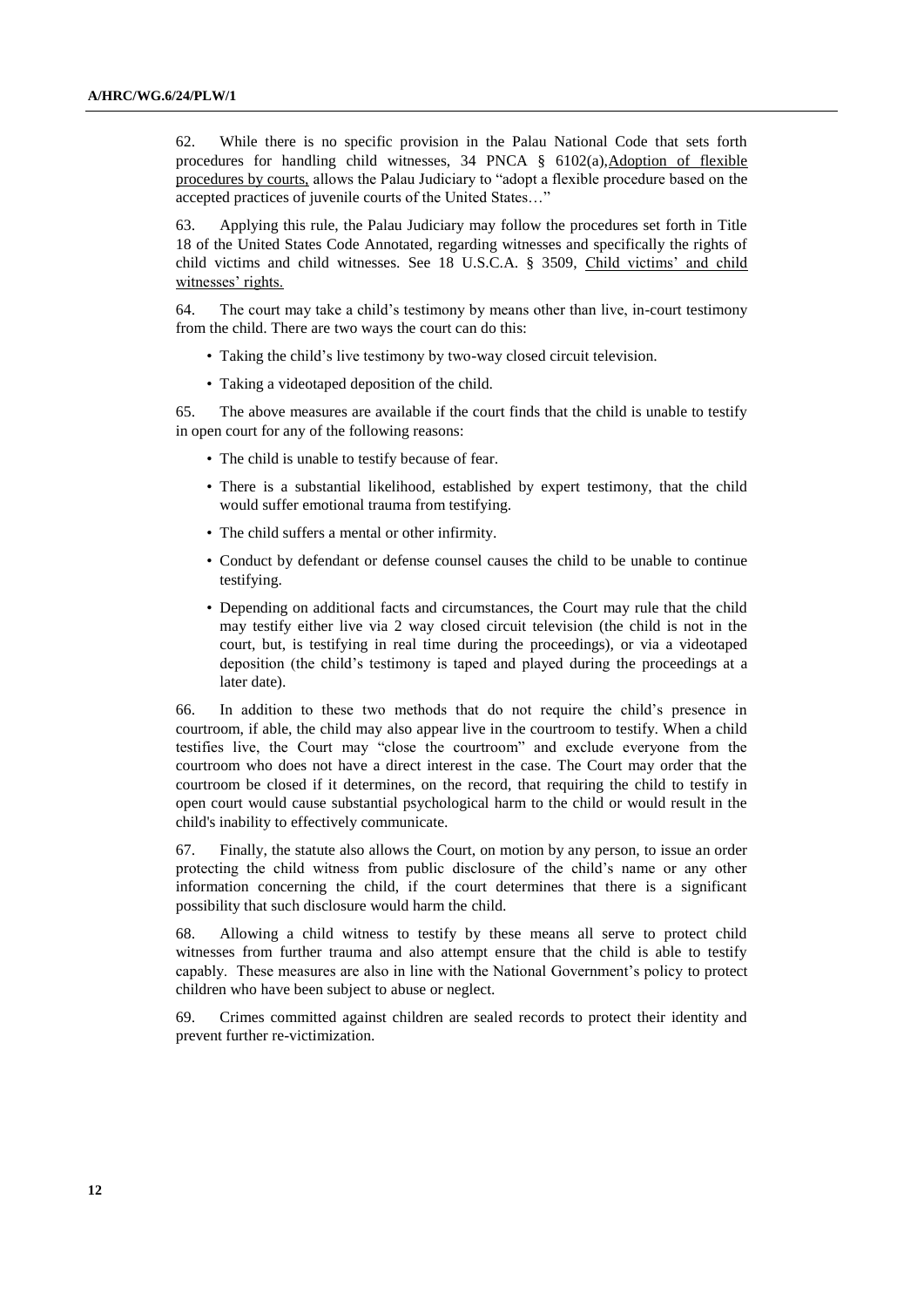62. While there is no specific provision in the Palau National Code that sets forth procedures for handling child witnesses, 34 PNCA § 6102(a),Adoption of flexible procedures by courts, allows the Palau Judiciary to "adopt a flexible procedure based on the accepted practices of juvenile courts of the United States…"

63. Applying this rule, the Palau Judiciary may follow the procedures set forth in Title 18 of the United States Code Annotated, regarding witnesses and specifically the rights of child victims and child witnesses. See 18 U.S.C.A. § 3509, Child victims' and child witnesses' rights.

64. The court may take a child's testimony by means other than live, in-court testimony from the child. There are two ways the court can do this:

- Taking the child's live testimony by two-way closed circuit television.
- Taking a videotaped deposition of the child.

65. The above measures are available if the court finds that the child is unable to testify in open court for any of the following reasons:

- The child is unable to testify because of fear.
- There is a substantial likelihood, established by expert testimony, that the child would suffer emotional trauma from testifying.
- The child suffers a mental or other infirmity.
- Conduct by defendant or defense counsel causes the child to be unable to continue testifying.
- Depending on additional facts and circumstances, the Court may rule that the child may testify either live via 2 way closed circuit television (the child is not in the court, but, is testifying in real time during the proceedings), or via a videotaped deposition (the child's testimony is taped and played during the proceedings at a later date).

66. In addition to these two methods that do not require the child's presence in courtroom, if able, the child may also appear live in the courtroom to testify. When a child testifies live, the Court may "close the courtroom" and exclude everyone from the courtroom who does not have a direct interest in the case. The Court may order that the courtroom be closed if it determines, on the record, that requiring the child to testify in open court would cause substantial psychological harm to the child or would result in the child's inability to effectively communicate.

67. Finally, the statute also allows the Court, on motion by any person, to issue an order protecting the child witness from public disclosure of the child's name or any other information concerning the child, if the court determines that there is a significant possibility that such disclosure would harm the child.

68. Allowing a child witness to testify by these means all serve to protect child witnesses from further trauma and also attempt ensure that the child is able to testify capably. These measures are also in line with the National Government's policy to protect children who have been subject to abuse or neglect.

69. Crimes committed against children are sealed records to protect their identity and prevent further re-victimization.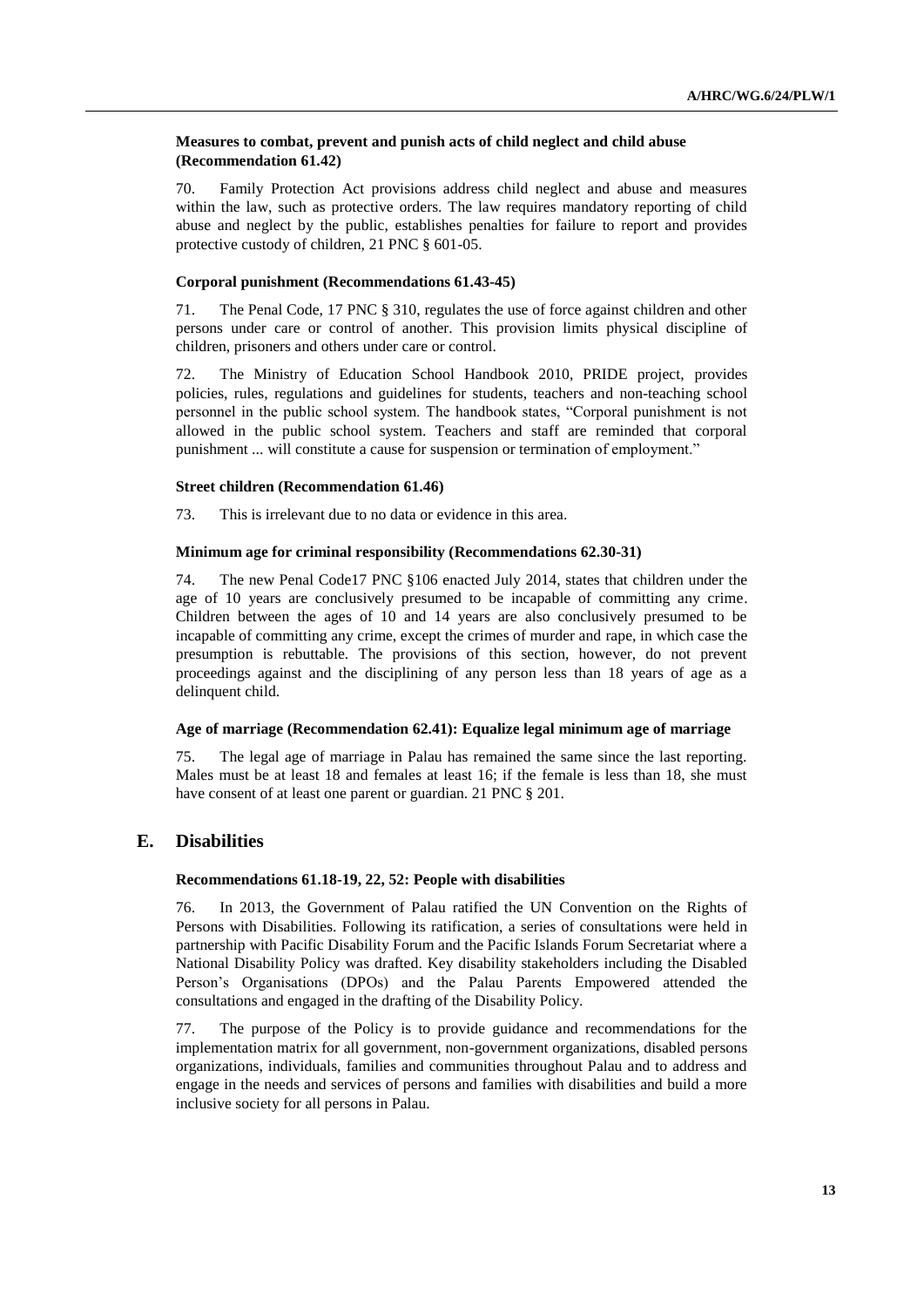### **Measures to combat, prevent and punish acts of child neglect and child abuse (Recommendation 61.42)**

70. Family Protection Act provisions address child neglect and abuse and measures within the law, such as protective orders. The law requires mandatory reporting of child abuse and neglect by the public, establishes penalties for failure to report and provides protective custody of children, 21 PNC § 601-05.

### **Corporal punishment (Recommendations 61.43-45)**

71. The Penal Code, 17 PNC § 310, regulates the use of force against children and other persons under care or control of another. This provision limits physical discipline of children, prisoners and others under care or control.

72. The Ministry of Education School Handbook 2010, PRIDE project, provides policies, rules, regulations and guidelines for students, teachers and non-teaching school personnel in the public school system. The handbook states, "Corporal punishment is not allowed in the public school system. Teachers and staff are reminded that corporal punishment ... will constitute a cause for suspension or termination of employment."

### **Street children (Recommendation 61.46)**

73. This is irrelevant due to no data or evidence in this area.

### **Minimum age for criminal responsibility (Recommendations 62.30-31)**

74. The new Penal Code17 PNC §106 enacted July 2014, states that children under the age of 10 years are conclusively presumed to be incapable of committing any crime. Children between the ages of 10 and 14 years are also conclusively presumed to be incapable of committing any crime, except the crimes of murder and rape, in which case the presumption is rebuttable. The provisions of this section, however, do not prevent proceedings against and the disciplining of any person less than 18 years of age as a delinquent child.

## **Age of marriage (Recommendation 62.41): Equalize legal minimum age of marriage**

75. The legal age of marriage in Palau has remained the same since the last reporting. Males must be at least 18 and females at least 16; if the female is less than 18, she must have consent of at least one parent or guardian. 21 PNC § 201.

## **E. Disabilities**

## **Recommendations 61.18-19, 22, 52: People with disabilities**

76. In 2013, the Government of Palau ratified the UN Convention on the Rights of Persons with Disabilities. Following its ratification, a series of consultations were held in partnership with Pacific Disability Forum and the Pacific Islands Forum Secretariat where a National Disability Policy was drafted. Key disability stakeholders including the Disabled Person's Organisations (DPOs) and the Palau Parents Empowered attended the consultations and engaged in the drafting of the Disability Policy.

77. The purpose of the Policy is to provide guidance and recommendations for the implementation matrix for all government, non-government organizations, disabled persons organizations, individuals, families and communities throughout Palau and to address and engage in the needs and services of persons and families with disabilities and build a more inclusive society for all persons in Palau.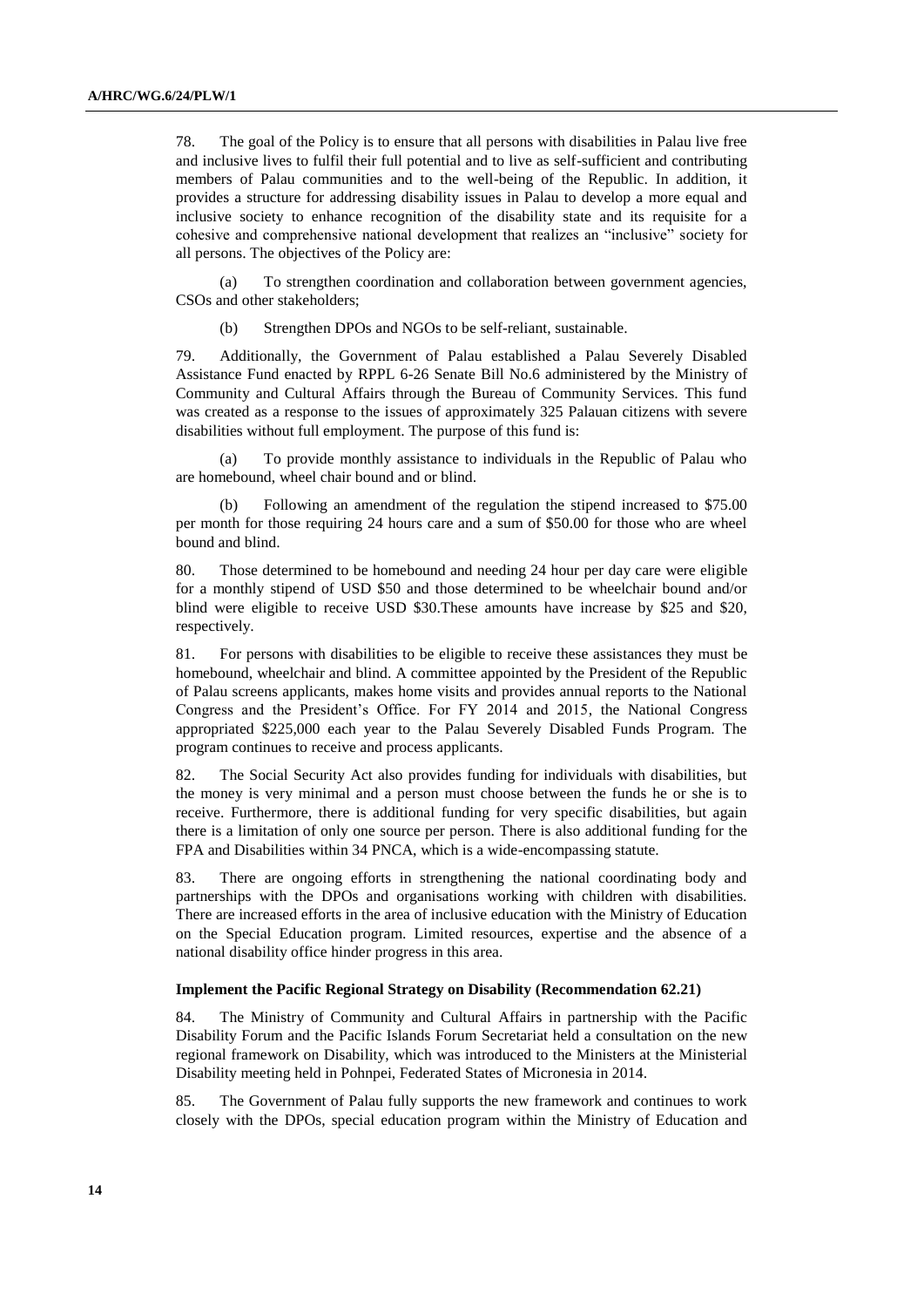78. The goal of the Policy is to ensure that all persons with disabilities in Palau live free and inclusive lives to fulfil their full potential and to live as self-sufficient and contributing members of Palau communities and to the well-being of the Republic. In addition, it provides a structure for addressing disability issues in Palau to develop a more equal and inclusive society to enhance recognition of the disability state and its requisite for a cohesive and comprehensive national development that realizes an "inclusive" society for all persons. The objectives of the Policy are:

(a) To strengthen coordination and collaboration between government agencies, CSOs and other stakeholders;

(b) Strengthen DPOs and NGOs to be self-reliant, sustainable.

79. Additionally, the Government of Palau established a Palau Severely Disabled Assistance Fund enacted by RPPL 6-26 Senate Bill No.6 administered by the Ministry of Community and Cultural Affairs through the Bureau of Community Services. This fund was created as a response to the issues of approximately 325 Palauan citizens with severe disabilities without full employment. The purpose of this fund is:

(a) To provide monthly assistance to individuals in the Republic of Palau who are homebound, wheel chair bound and or blind.

(b) Following an amendment of the regulation the stipend increased to \$75.00 per month for those requiring 24 hours care and a sum of \$50.00 for those who are wheel bound and blind.

80. Those determined to be homebound and needing 24 hour per day care were eligible for a monthly stipend of USD \$50 and those determined to be wheelchair bound and/or blind were eligible to receive USD \$30.These amounts have increase by \$25 and \$20, respectively.

81. For persons with disabilities to be eligible to receive these assistances they must be homebound, wheelchair and blind. A committee appointed by the President of the Republic of Palau screens applicants, makes home visits and provides annual reports to the National Congress and the President's Office. For FY 2014 and 2015, the National Congress appropriated \$225,000 each year to the Palau Severely Disabled Funds Program. The program continues to receive and process applicants.

82. The Social Security Act also provides funding for individuals with disabilities, but the money is very minimal and a person must choose between the funds he or she is to receive. Furthermore, there is additional funding for very specific disabilities, but again there is a limitation of only one source per person. There is also additional funding for the FPA and Disabilities within 34 PNCA, which is a wide-encompassing statute.

83. There are ongoing efforts in strengthening the national coordinating body and partnerships with the DPOs and organisations working with children with disabilities. There are increased efforts in the area of inclusive education with the Ministry of Education on the Special Education program. Limited resources, expertise and the absence of a national disability office hinder progress in this area.

#### **Implement the Pacific Regional Strategy on Disability (Recommendation 62.21)**

84. The Ministry of Community and Cultural Affairs in partnership with the Pacific Disability Forum and the Pacific Islands Forum Secretariat held a consultation on the new regional framework on Disability, which was introduced to the Ministers at the Ministerial Disability meeting held in Pohnpei, Federated States of Micronesia in 2014.

85. The Government of Palau fully supports the new framework and continues to work closely with the DPOs, special education program within the Ministry of Education and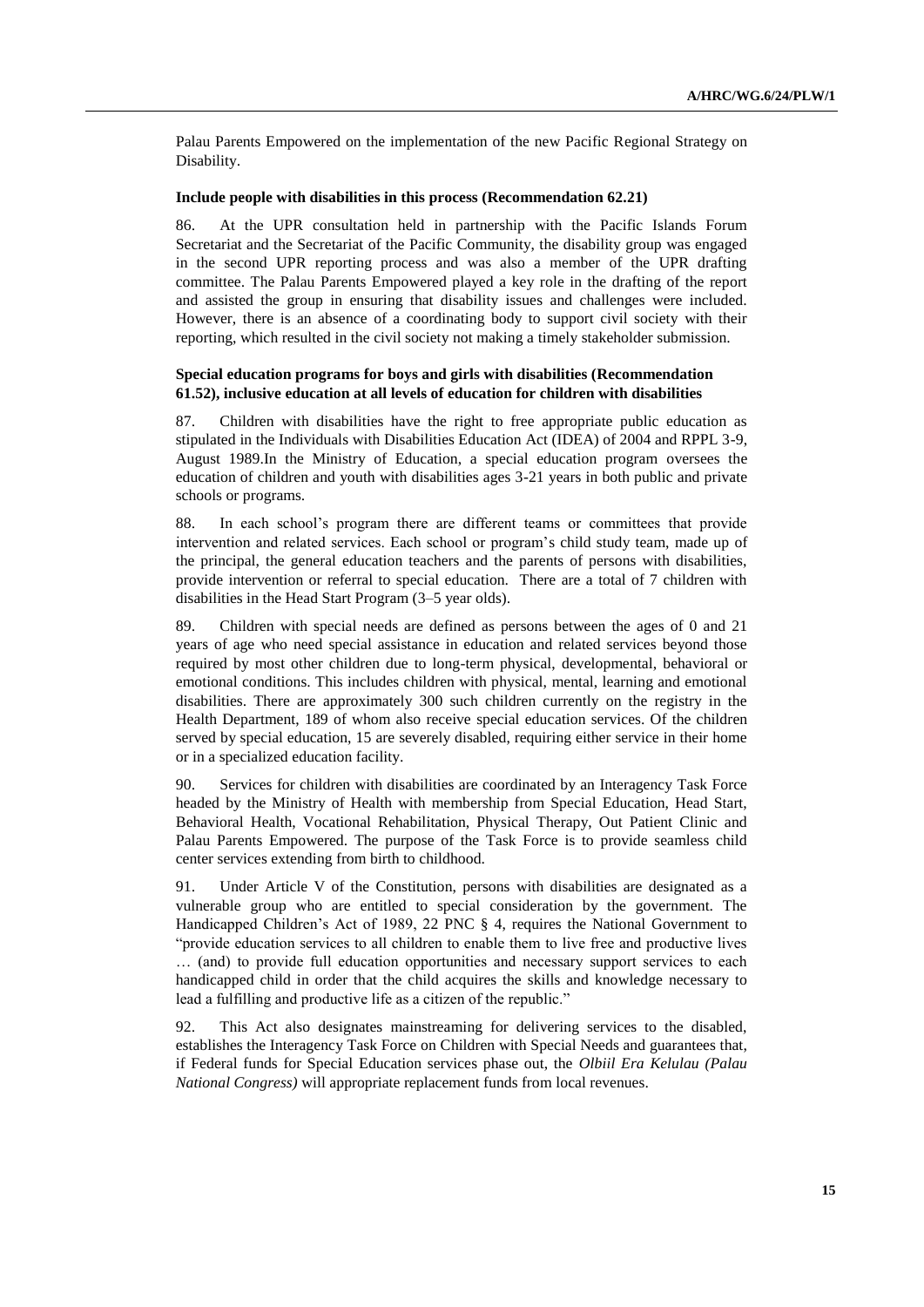Palau Parents Empowered on the implementation of the new Pacific Regional Strategy on Disability.

#### **Include people with disabilities in this process (Recommendation 62.21)**

86. At the UPR consultation held in partnership with the Pacific Islands Forum Secretariat and the Secretariat of the Pacific Community, the disability group was engaged in the second UPR reporting process and was also a member of the UPR drafting committee. The Palau Parents Empowered played a key role in the drafting of the report and assisted the group in ensuring that disability issues and challenges were included. However, there is an absence of a coordinating body to support civil society with their reporting, which resulted in the civil society not making a timely stakeholder submission.

#### **Special education programs for boys and girls with disabilities (Recommendation 61.52), inclusive education at all levels of education for children with disabilities**

87. Children with disabilities have the right to free appropriate public education as stipulated in the Individuals with Disabilities Education Act (IDEA) of 2004 and RPPL 3-9, August 1989.In the Ministry of Education, a special education program oversees the education of children and youth with disabilities ages 3-21 years in both public and private schools or programs.

88. In each school's program there are different teams or committees that provide intervention and related services. Each school or program's child study team, made up of the principal, the general education teachers and the parents of persons with disabilities, provide intervention or referral to special education. There are a total of 7 children with disabilities in the Head Start Program (3–5 year olds).

89. Children with special needs are defined as persons between the ages of 0 and 21 years of age who need special assistance in education and related services beyond those required by most other children due to long-term physical, developmental, behavioral or emotional conditions. This includes children with physical, mental, learning and emotional disabilities. There are approximately 300 such children currently on the registry in the Health Department, 189 of whom also receive special education services. Of the children served by special education, 15 are severely disabled, requiring either service in their home or in a specialized education facility.

90. Services for children with disabilities are coordinated by an Interagency Task Force headed by the Ministry of Health with membership from Special Education, Head Start, Behavioral Health, Vocational Rehabilitation, Physical Therapy, Out Patient Clinic and Palau Parents Empowered. The purpose of the Task Force is to provide seamless child center services extending from birth to childhood.

91. Under Article V of the Constitution, persons with disabilities are designated as a vulnerable group who are entitled to special consideration by the government. The Handicapped Children's Act of 1989, 22 PNC § 4, requires the National Government to "provide education services to all children to enable them to live free and productive lives … (and) to provide full education opportunities and necessary support services to each handicapped child in order that the child acquires the skills and knowledge necessary to lead a fulfilling and productive life as a citizen of the republic."

92. This Act also designates mainstreaming for delivering services to the disabled, establishes the Interagency Task Force on Children with Special Needs and guarantees that, if Federal funds for Special Education services phase out, the *Olbiil Era Kelulau (Palau National Congress)* will appropriate replacement funds from local revenues.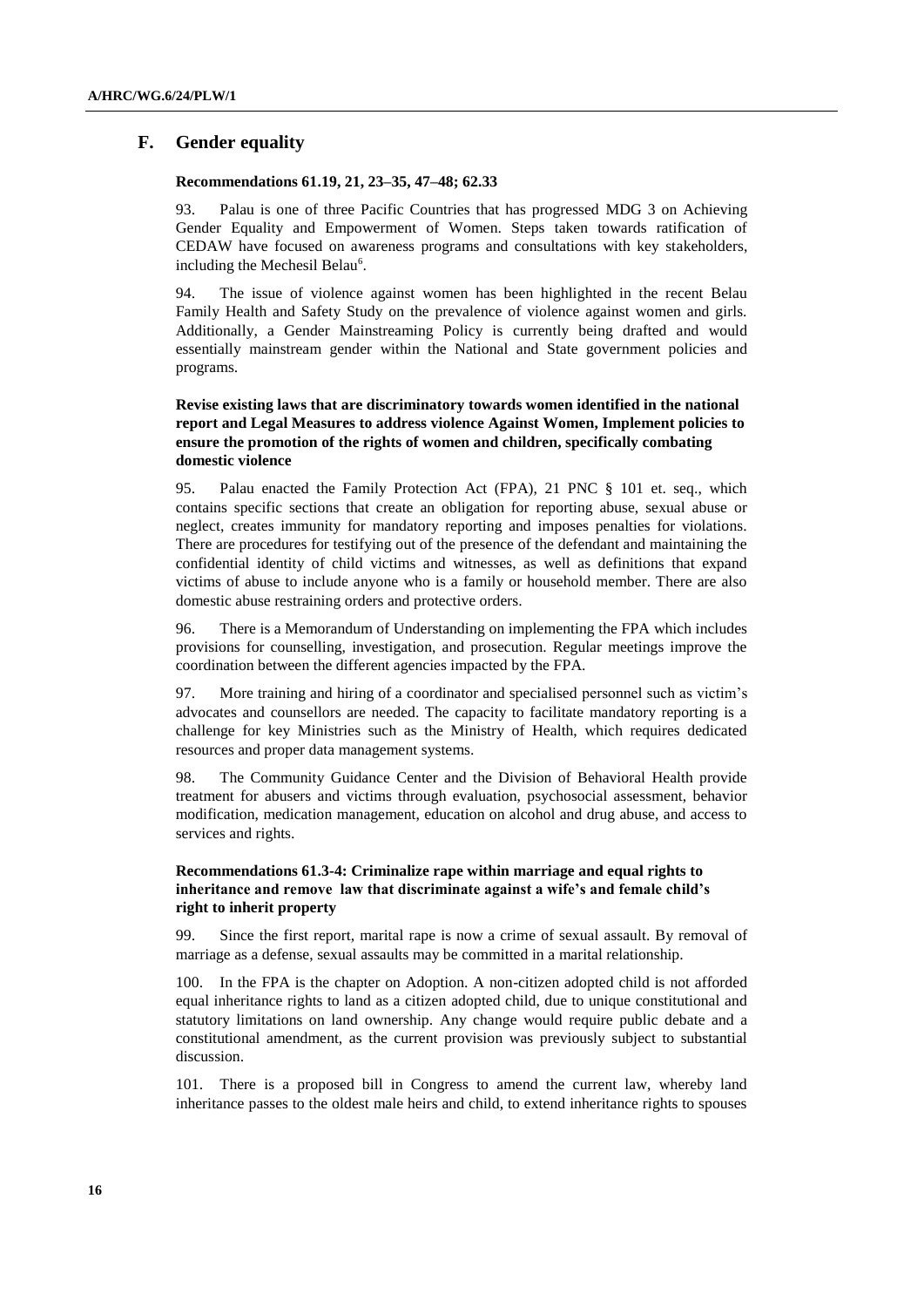## **F. Gender equality**

#### **Recommendations 61.19, 21, 23–35, 47–48; 62.33**

93. Palau is one of three Pacific Countries that has progressed MDG 3 on Achieving Gender Equality and Empowerment of Women. Steps taken towards ratification of CEDAW have focused on awareness programs and consultations with key stakeholders, including the Mechesil Belau<sup>6</sup>.

94. The issue of violence against women has been highlighted in the recent Belau Family Health and Safety Study on the prevalence of violence against women and girls. Additionally, a Gender Mainstreaming Policy is currently being drafted and would essentially mainstream gender within the National and State government policies and programs.

## **Revise existing laws that are discriminatory towards women identified in the national report and Legal Measures to address violence Against Women, Implement policies to ensure the promotion of the rights of women and children, specifically combating domestic violence**

95. Palau enacted the Family Protection Act (FPA), 21 PNC § 101 et. seq., which contains specific sections that create an obligation for reporting abuse, sexual abuse or neglect, creates immunity for mandatory reporting and imposes penalties for violations. There are procedures for testifying out of the presence of the defendant and maintaining the confidential identity of child victims and witnesses, as well as definitions that expand victims of abuse to include anyone who is a family or household member. There are also domestic abuse restraining orders and protective orders.

96. There is a Memorandum of Understanding on implementing the FPA which includes provisions for counselling, investigation, and prosecution. Regular meetings improve the coordination between the different agencies impacted by the FPA.

97. More training and hiring of a coordinator and specialised personnel such as victim's advocates and counsellors are needed. The capacity to facilitate mandatory reporting is a challenge for key Ministries such as the Ministry of Health, which requires dedicated resources and proper data management systems.

98. The Community Guidance Center and the Division of Behavioral Health provide treatment for abusers and victims through evaluation, psychosocial assessment, behavior modification, medication management, education on alcohol and drug abuse, and access to services and rights.

## **Recommendations 61.3-4: Criminalize rape within marriage and equal rights to inheritance and remove law that discriminate against a wife's and female child's right to inherit property**

99. Since the first report, marital rape is now a crime of sexual assault. By removal of marriage as a defense, sexual assaults may be committed in a marital relationship.

100. In the FPA is the chapter on Adoption. A non-citizen adopted child is not afforded equal inheritance rights to land as a citizen adopted child, due to unique constitutional and statutory limitations on land ownership. Any change would require public debate and a constitutional amendment, as the current provision was previously subject to substantial discussion.

101. There is a proposed bill in Congress to amend the current law, whereby land inheritance passes to the oldest male heirs and child, to extend inheritance rights to spouses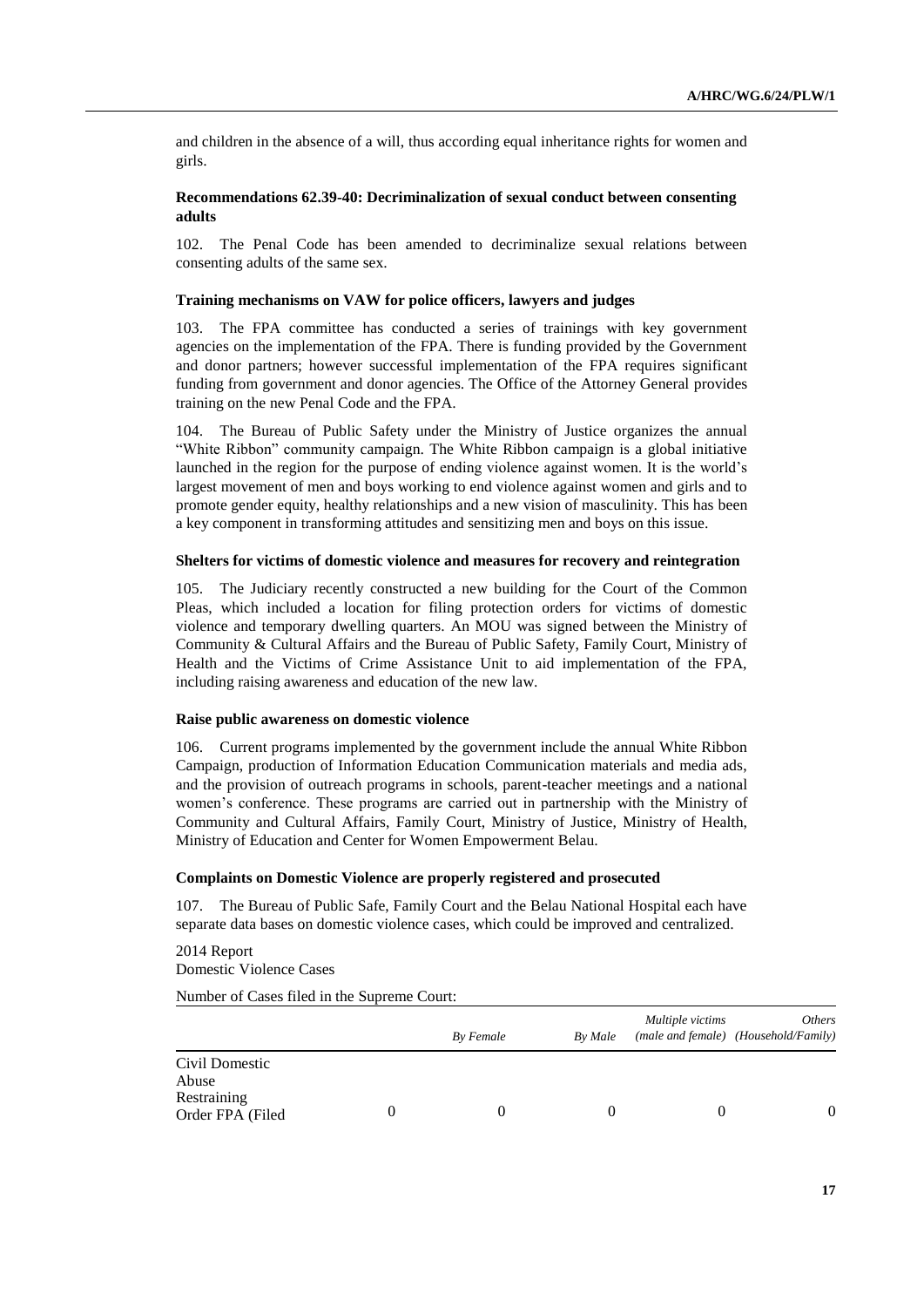and children in the absence of a will, thus according equal inheritance rights for women and girls.

### **Recommendations 62.39-40: Decriminalization of sexual conduct between consenting adults**

102. The Penal Code has been amended to decriminalize sexual relations between consenting adults of the same sex.

#### **Training mechanisms on VAW for police officers, lawyers and judges**

103. The FPA committee has conducted a series of trainings with key government agencies on the implementation of the FPA. There is funding provided by the Government and donor partners; however successful implementation of the FPA requires significant funding from government and donor agencies. The Office of the Attorney General provides training on the new Penal Code and the FPA.

104. The Bureau of Public Safety under the Ministry of Justice organizes the annual "White Ribbon" community campaign. The White Ribbon campaign is a global initiative launched in the region for the purpose of ending violence against women. It is the world's largest movement of men and boys working to end violence against women and girls and to promote gender equity, healthy relationships and a new vision of masculinity. This has been a key component in transforming attitudes and sensitizing men and boys on this issue.

### **Shelters for victims of domestic violence and measures for recovery and reintegration**

105. The Judiciary recently constructed a new building for the Court of the Common Pleas, which included a location for filing protection orders for victims of domestic violence and temporary dwelling quarters. An MOU was signed between the Ministry of Community & Cultural Affairs and the Bureau of Public Safety, Family Court, Ministry of Health and the Victims of Crime Assistance Unit to aid implementation of the FPA, including raising awareness and education of the new law.

#### **Raise public awareness on domestic violence**

106. Current programs implemented by the government include the annual White Ribbon Campaign, production of Information Education Communication materials and media ads, and the provision of outreach programs in schools, parent-teacher meetings and a national women's conference. These programs are carried out in partnership with the Ministry of Community and Cultural Affairs, Family Court, Ministry of Justice, Ministry of Health, Ministry of Education and Center for Women Empowerment Belau.

#### **Complaints on Domestic Violence are properly registered and prosecuted**

107. The Bureau of Public Safe, Family Court and the Belau National Hospital each have separate data bases on domestic violence cases, which could be improved and centralized.

2014 Report Domestic Violence Cases

Number of Cases filed in the Supreme Court:

|                                                            |   | By Female | By Male | Multiple victims | <i>Others</i><br>(male and female) (Household/Family) |
|------------------------------------------------------------|---|-----------|---------|------------------|-------------------------------------------------------|
| Civil Domestic<br>Abuse<br>Restraining<br>Order FPA (Filed | O |           |         |                  | $\Omega$                                              |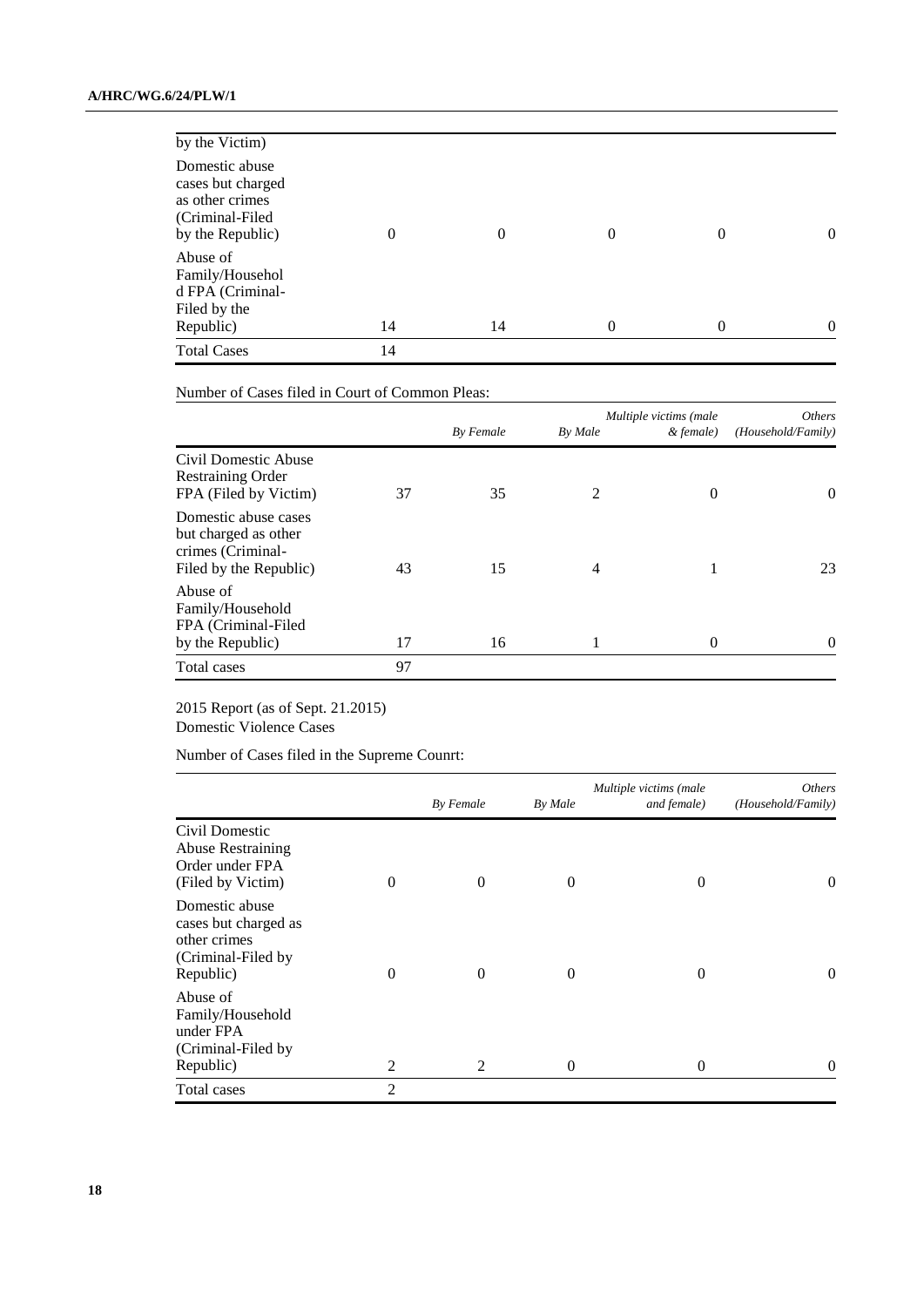| Republic)<br><b>Total Cases</b>                                                               | 14<br>14 | 14       | 0        | $\theta$       | $\theta$       |
|-----------------------------------------------------------------------------------------------|----------|----------|----------|----------------|----------------|
| Abuse of<br>Family/Househol<br>d FPA (Criminal-<br>Filed by the                               |          |          |          |                |                |
| Domestic abuse<br>cases but charged<br>as other crimes<br>(Criminal-Filed<br>by the Republic) | 0        | $\Omega$ | $\Omega$ | $\overline{0}$ | $\overline{0}$ |
| by the Victim)                                                                                |          |          |          |                |                |

Number of Cases filed in Court of Common Pleas:

|                                                                                             |    | By Female | By Male | Multiple victims (male<br>& female) | <i>Others</i><br>(Household/Family) |
|---------------------------------------------------------------------------------------------|----|-----------|---------|-------------------------------------|-------------------------------------|
| Civil Domestic Abuse<br><b>Restraining Order</b><br>FPA (Filed by Victim)                   | 37 | 35        | 2       | $\Omega$                            | $\theta$                            |
| Domestic abuse cases<br>but charged as other<br>crimes (Criminal-<br>Filed by the Republic) | 43 | 15        | 4       |                                     | 23                                  |
| Abuse of<br>Family/Household<br>FPA (Criminal-Filed<br>by the Republic)                     | 17 | 16        |         | $\Omega$                            | 0                                   |
| Total cases                                                                                 | 97 |           |         |                                     |                                     |

## 2015 Report (as of Sept. 21.2015) Domestic Violence Cases

Number of Cases filed in the Supreme Counrt:

|                                                                                           |                | By Female | By Male  | Multiple victims (male<br>and female) | <i>Others</i><br>(Household/Family) |
|-------------------------------------------------------------------------------------------|----------------|-----------|----------|---------------------------------------|-------------------------------------|
| Civil Domestic<br><b>Abuse Restraining</b><br>Order under FPA<br>(Filed by Victim)        | 0              | $\theta$  | $\theta$ | $\Omega$                              | $\theta$                            |
| Domestic abuse<br>cases but charged as<br>other crimes<br>(Criminal-Filed by<br>Republic) | $\theta$       | $\theta$  | $\theta$ | $\Omega$                              | $\theta$                            |
| Abuse of<br>Family/Household<br>under FPA<br>(Criminal-Filed by<br>Republic)              | 2              | 2         | $\theta$ | $\Omega$                              | $\Omega$                            |
| Total cases                                                                               | $\overline{c}$ |           |          |                                       |                                     |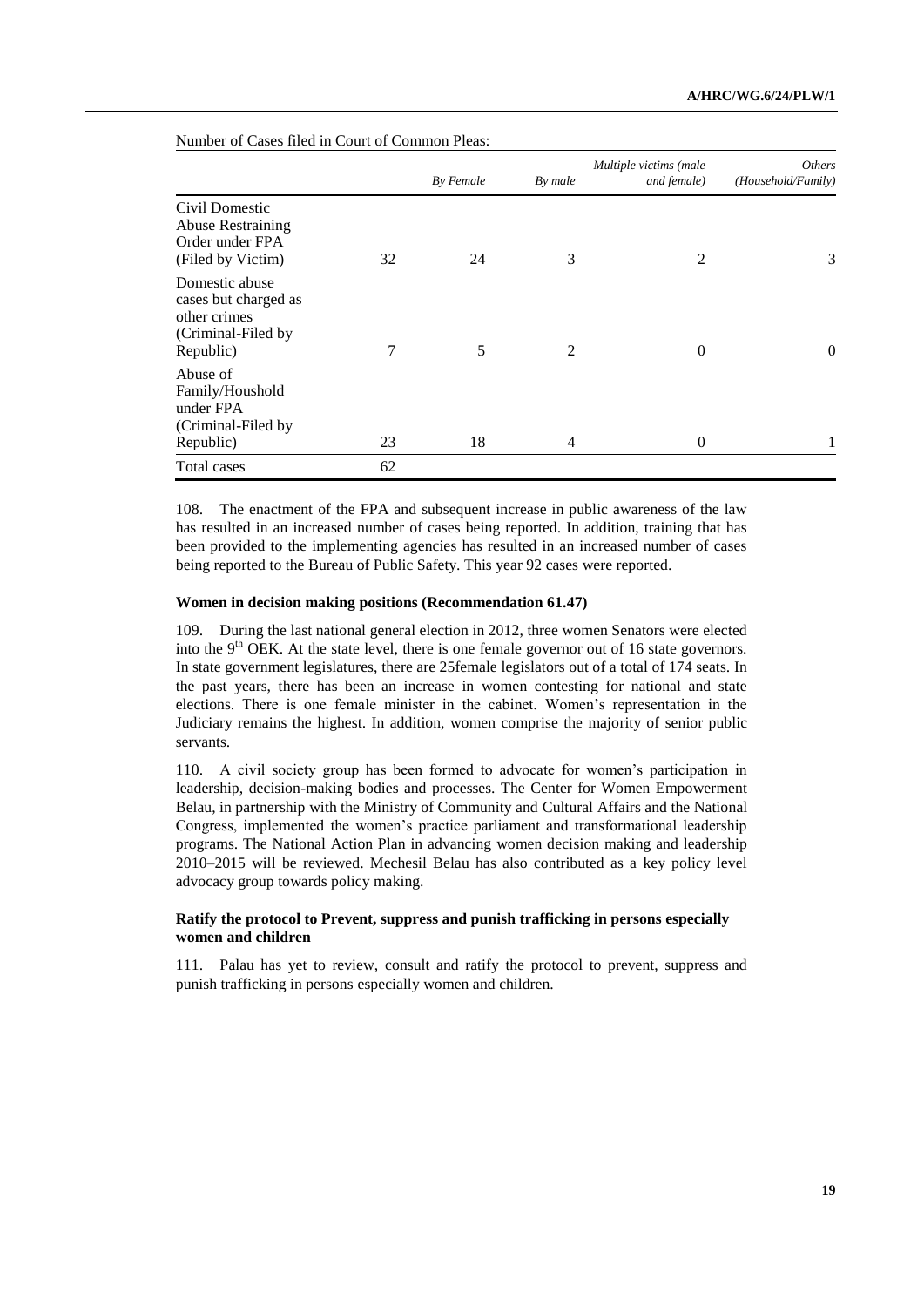|                                                                                           |    | By Female | By male | Multiple victims (male<br>and female) | <i>Others</i><br>(Household/Family) |
|-------------------------------------------------------------------------------------------|----|-----------|---------|---------------------------------------|-------------------------------------|
| Civil Domestic<br><b>Abuse Restraining</b><br>Order under FPA<br>(Filed by Victim)        | 32 | 24        | 3       | $\overline{2}$                        | 3                                   |
| Domestic abuse<br>cases but charged as<br>other crimes<br>(Criminal-Filed by<br>Republic) | 7  | 5         | 2       | $\theta$                              | $\boldsymbol{0}$                    |
| Abuse of<br>Family/Houshold<br>under FPA<br>(Criminal-Filed by)<br>Republic)              | 23 | 18        | 4       | $\theta$                              |                                     |
| Total cases                                                                               | 62 |           |         |                                       |                                     |

Number of Cases filed in Court of Common Pleas:

108. The enactment of the FPA and subsequent increase in public awareness of the law has resulted in an increased number of cases being reported. In addition, training that has been provided to the implementing agencies has resulted in an increased number of cases being reported to the Bureau of Public Safety. This year 92 cases were reported.

## **Women in decision making positions (Recommendation 61.47)**

109. During the last national general election in 2012, three women Senators were elected into the  $9<sup>th</sup>$  OEK. At the state level, there is one female governor out of 16 state governors. In state government legislatures, there are 25female legislators out of a total of 174 seats. In the past years, there has been an increase in women contesting for national and state elections. There is one female minister in the cabinet. Women's representation in the Judiciary remains the highest. In addition, women comprise the majority of senior public servants.

110. A civil society group has been formed to advocate for women's participation in leadership, decision-making bodies and processes. The Center for Women Empowerment Belau, in partnership with the Ministry of Community and Cultural Affairs and the National Congress, implemented the women's practice parliament and transformational leadership programs. The National Action Plan in advancing women decision making and leadership 2010–2015 will be reviewed. Mechesil Belau has also contributed as a key policy level advocacy group towards policy making.

### **Ratify the protocol to Prevent, suppress and punish trafficking in persons especially women and children**

111. Palau has yet to review, consult and ratify the protocol to prevent, suppress and punish trafficking in persons especially women and children.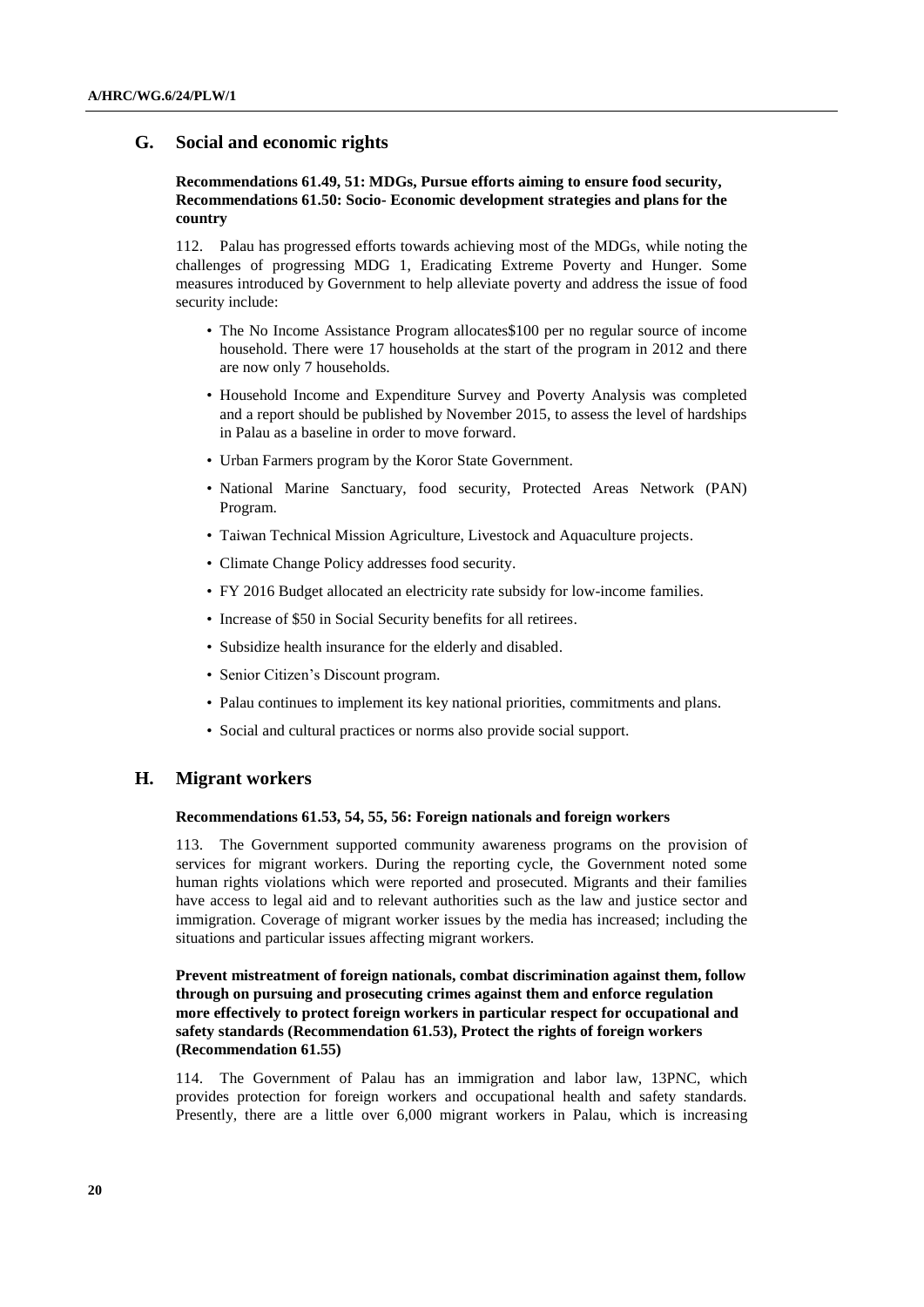## **G. Social and economic rights**

## **Recommendations 61.49, 51: MDGs, Pursue efforts aiming to ensure food security, Recommendations 61.50: Socio- Economic development strategies and plans for the country**

112. Palau has progressed efforts towards achieving most of the MDGs, while noting the challenges of progressing MDG 1, Eradicating Extreme Poverty and Hunger. Some measures introduced by Government to help alleviate poverty and address the issue of food security include:

- The No Income Assistance Program allocates\$100 per no regular source of income household. There were 17 households at the start of the program in 2012 and there are now only 7 households.
- Household Income and Expenditure Survey and Poverty Analysis was completed and a report should be published by November 2015, to assess the level of hardships in Palau as a baseline in order to move forward.
- Urban Farmers program by the Koror State Government.
- National Marine Sanctuary, food security, Protected Areas Network (PAN) Program.
- Taiwan Technical Mission Agriculture, Livestock and Aquaculture projects.
- Climate Change Policy addresses food security.
- FY 2016 Budget allocated an electricity rate subsidy for low-income families.
- Increase of \$50 in Social Security benefits for all retirees.
- Subsidize health insurance for the elderly and disabled.
- Senior Citizen's Discount program.
- Palau continues to implement its key national priorities, commitments and plans.
- Social and cultural practices or norms also provide social support.

## **H. Migrant workers**

#### **Recommendations 61.53, 54, 55, 56: Foreign nationals and foreign workers**

113. The Government supported community awareness programs on the provision of services for migrant workers. During the reporting cycle, the Government noted some human rights violations which were reported and prosecuted. Migrants and their families have access to legal aid and to relevant authorities such as the law and justice sector and immigration. Coverage of migrant worker issues by the media has increased; including the situations and particular issues affecting migrant workers.

## **Prevent mistreatment of foreign nationals, combat discrimination against them, follow through on pursuing and prosecuting crimes against them and enforce regulation more effectively to protect foreign workers in particular respect for occupational and safety standards (Recommendation 61.53), Protect the rights of foreign workers (Recommendation 61.55)**

114. The Government of Palau has an immigration and labor law, 13PNC, which provides protection for foreign workers and occupational health and safety standards. Presently, there are a little over 6,000 migrant workers in Palau, which is increasing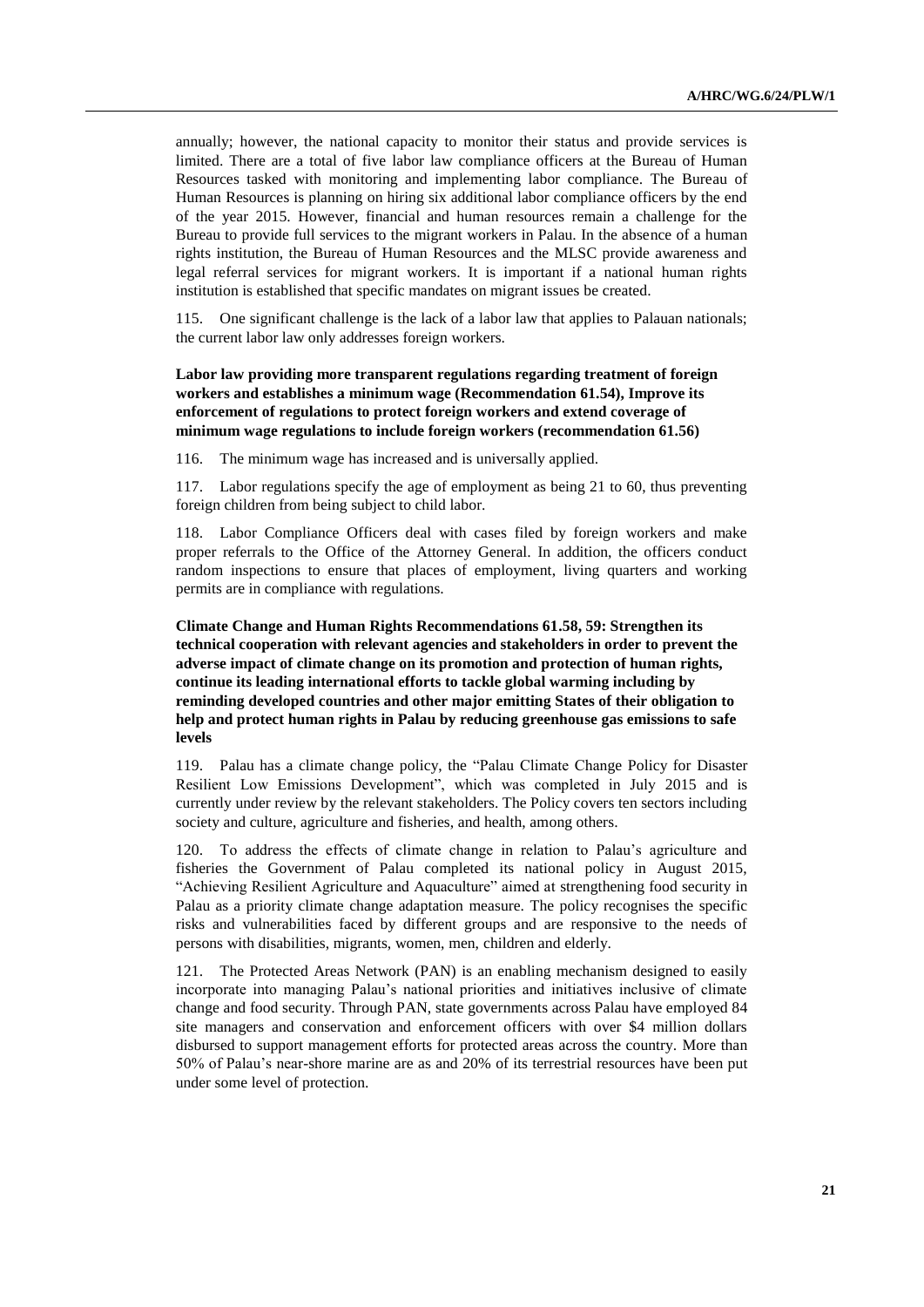annually; however, the national capacity to monitor their status and provide services is limited. There are a total of five labor law compliance officers at the Bureau of Human Resources tasked with monitoring and implementing labor compliance. The Bureau of Human Resources is planning on hiring six additional labor compliance officers by the end of the year 2015. However, financial and human resources remain a challenge for the Bureau to provide full services to the migrant workers in Palau. In the absence of a human rights institution, the Bureau of Human Resources and the MLSC provide awareness and legal referral services for migrant workers. It is important if a national human rights institution is established that specific mandates on migrant issues be created.

115. One significant challenge is the lack of a labor law that applies to Palauan nationals; the current labor law only addresses foreign workers.

## **Labor law providing more transparent regulations regarding treatment of foreign workers and establishes a minimum wage (Recommendation 61.54), Improve its enforcement of regulations to protect foreign workers and extend coverage of minimum wage regulations to include foreign workers (recommendation 61.56)**

116. The minimum wage has increased and is universally applied.

117. Labor regulations specify the age of employment as being 21 to 60, thus preventing foreign children from being subject to child labor.

118. Labor Compliance Officers deal with cases filed by foreign workers and make proper referrals to the Office of the Attorney General. In addition, the officers conduct random inspections to ensure that places of employment, living quarters and working permits are in compliance with regulations.

**Climate Change and Human Rights Recommendations 61.58, 59: Strengthen its technical cooperation with relevant agencies and stakeholders in order to prevent the adverse impact of climate change on its promotion and protection of human rights, continue its leading international efforts to tackle global warming including by reminding developed countries and other major emitting States of their obligation to help and protect human rights in Palau by reducing greenhouse gas emissions to safe levels**

119. Palau has a climate change policy, the "Palau Climate Change Policy for Disaster Resilient Low Emissions Development", which was completed in July 2015 and is currently under review by the relevant stakeholders. The Policy covers ten sectors including society and culture, agriculture and fisheries, and health, among others.

120. To address the effects of climate change in relation to Palau's agriculture and fisheries the Government of Palau completed its national policy in August 2015, "Achieving Resilient Agriculture and Aquaculture" aimed at strengthening food security in Palau as a priority climate change adaptation measure. The policy recognises the specific risks and vulnerabilities faced by different groups and are responsive to the needs of persons with disabilities, migrants, women, men, children and elderly.

121. The Protected Areas Network (PAN) is an enabling mechanism designed to easily incorporate into managing Palau's national priorities and initiatives inclusive of climate change and food security. Through PAN, state governments across Palau have employed 84 site managers and conservation and enforcement officers with over \$4 million dollars disbursed to support management efforts for protected areas across the country. More than 50% of Palau's near-shore marine are as and 20% of its terrestrial resources have been put under some level of protection.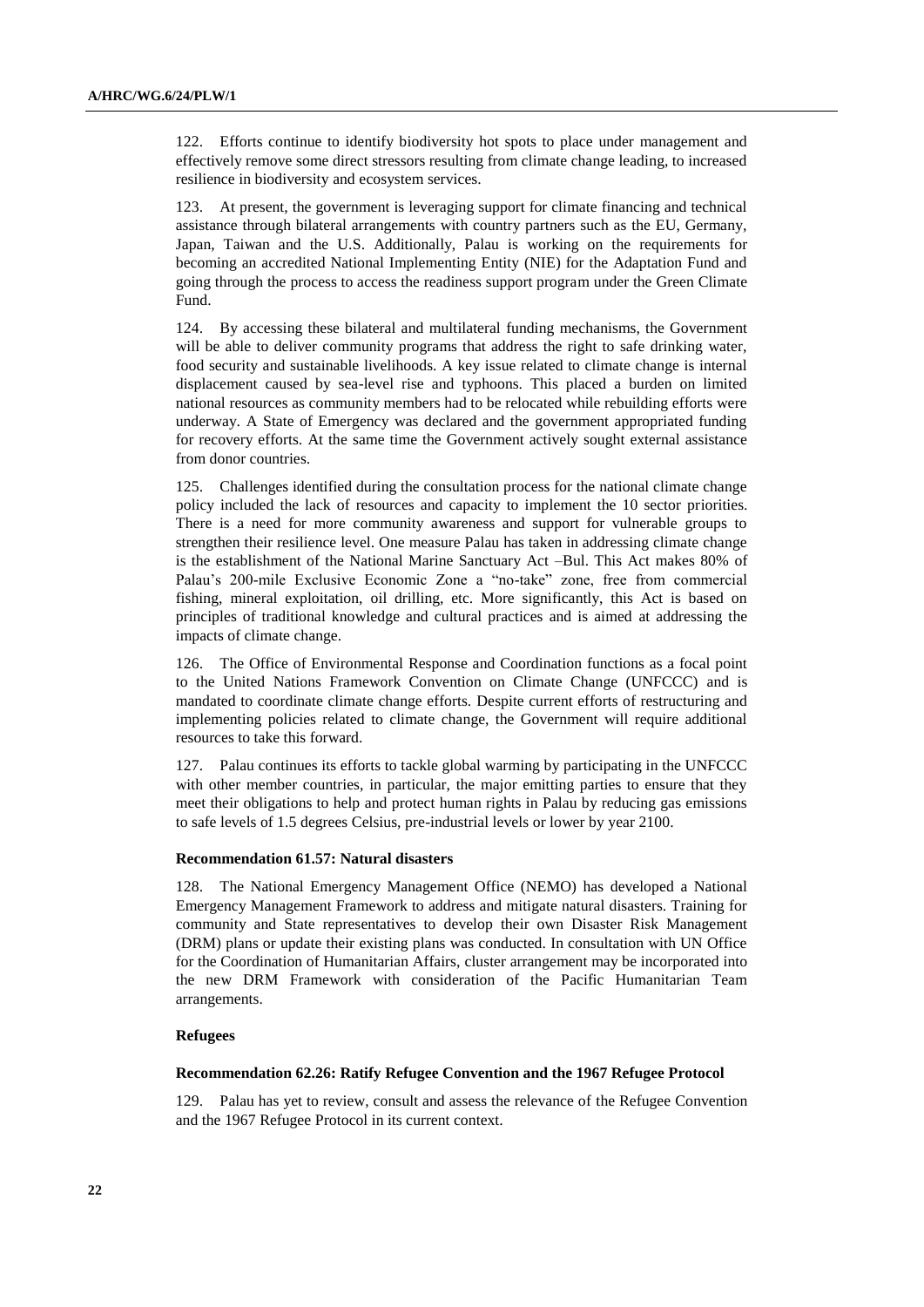122. Efforts continue to identify biodiversity hot spots to place under management and effectively remove some direct stressors resulting from climate change leading, to increased resilience in biodiversity and ecosystem services.

123. At present, the government is leveraging support for climate financing and technical assistance through bilateral arrangements with country partners such as the EU, Germany, Japan, Taiwan and the U.S. Additionally, Palau is working on the requirements for becoming an accredited National Implementing Entity (NIE) for the Adaptation Fund and going through the process to access the readiness support program under the Green Climate Fund.

124. By accessing these bilateral and multilateral funding mechanisms, the Government will be able to deliver community programs that address the right to safe drinking water, food security and sustainable livelihoods. A key issue related to climate change is internal displacement caused by sea-level rise and typhoons. This placed a burden on limited national resources as community members had to be relocated while rebuilding efforts were underway. A State of Emergency was declared and the government appropriated funding for recovery efforts. At the same time the Government actively sought external assistance from donor countries.

125. Challenges identified during the consultation process for the national climate change policy included the lack of resources and capacity to implement the 10 sector priorities. There is a need for more community awareness and support for vulnerable groups to strengthen their resilience level. One measure Palau has taken in addressing climate change is the establishment of the National Marine Sanctuary Act –Bul. This Act makes 80% of Palau's 200-mile Exclusive Economic Zone a "no-take" zone, free from commercial fishing, mineral exploitation, oil drilling, etc. More significantly, this Act is based on principles of traditional knowledge and cultural practices and is aimed at addressing the impacts of climate change.

126. The Office of Environmental Response and Coordination functions as a focal point to the United Nations Framework Convention on Climate Change (UNFCCC) and is mandated to coordinate climate change efforts. Despite current efforts of restructuring and implementing policies related to climate change, the Government will require additional resources to take this forward.

127. Palau continues its efforts to tackle global warming by participating in the UNFCCC with other member countries, in particular, the major emitting parties to ensure that they meet their obligations to help and protect human rights in Palau by reducing gas emissions to safe levels of 1.5 degrees Celsius, pre-industrial levels or lower by year 2100.

### **Recommendation 61.57: Natural disasters**

128. The National Emergency Management Office (NEMO) has developed a National Emergency Management Framework to address and mitigate natural disasters. Training for community and State representatives to develop their own Disaster Risk Management (DRM) plans or update their existing plans was conducted. In consultation with UN Office for the Coordination of Humanitarian Affairs, cluster arrangement may be incorporated into the new DRM Framework with consideration of the Pacific Humanitarian Team arrangements.

#### **Refugees**

#### **Recommendation 62.26: Ratify Refugee Convention and the 1967 Refugee Protocol**

129. Palau has yet to review, consult and assess the relevance of the Refugee Convention and the 1967 Refugee Protocol in its current context.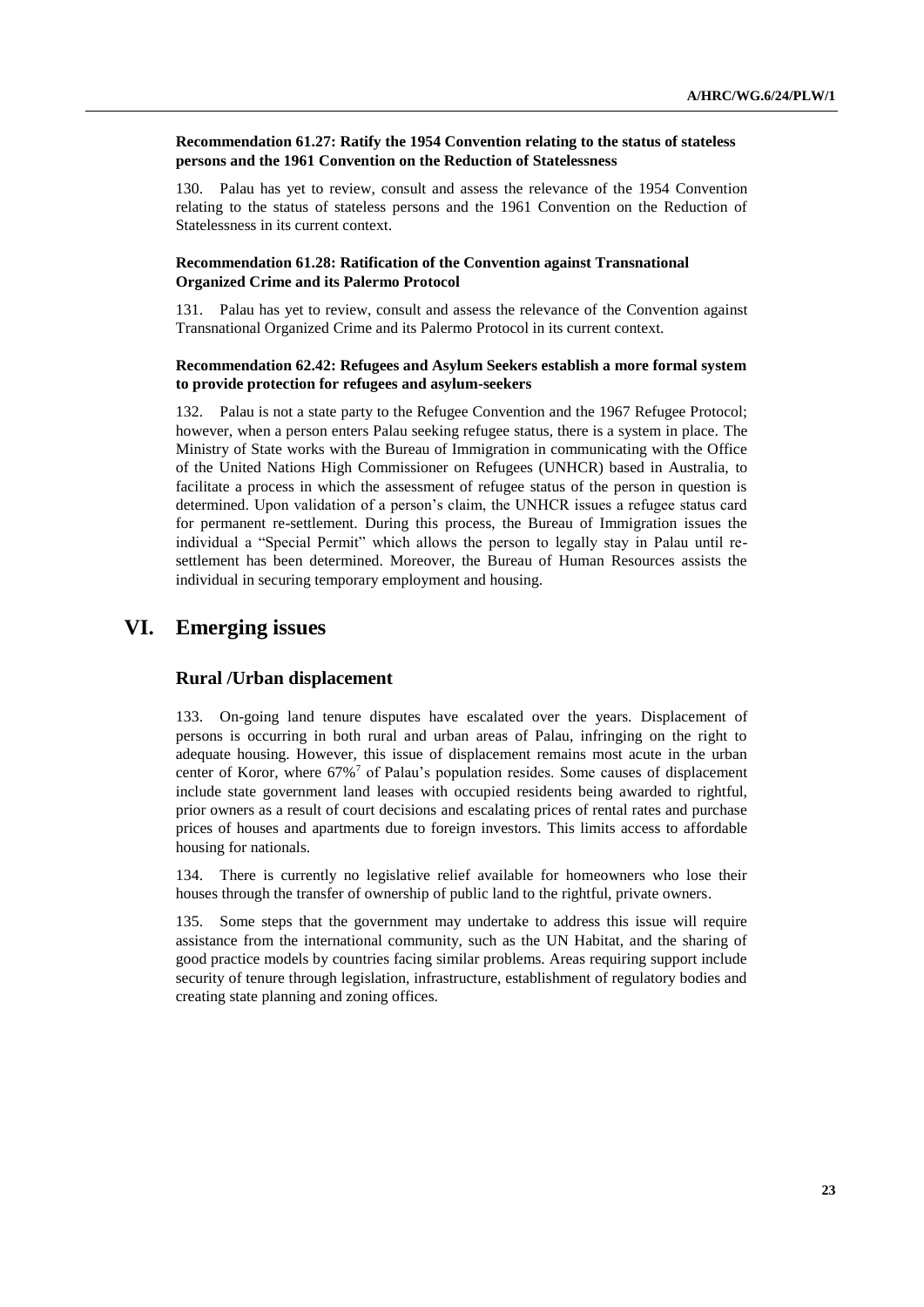**Recommendation 61.27: Ratify the 1954 Convention relating to the status of stateless persons and the 1961 Convention on the Reduction of Statelessness** 

130. Palau has yet to review, consult and assess the relevance of the 1954 Convention relating to the status of stateless persons and the 1961 Convention on the Reduction of Statelessness in its current context.

## **Recommendation 61.28: Ratification of the Convention against Transnational Organized Crime and its Palermo Protocol**

131. Palau has yet to review, consult and assess the relevance of the Convention against Transnational Organized Crime and its Palermo Protocol in its current context.

### **Recommendation 62.42: Refugees and Asylum Seekers establish a more formal system to provide protection for refugees and asylum-seekers**

132. Palau is not a state party to the Refugee Convention and the 1967 Refugee Protocol; however, when a person enters Palau seeking refugee status, there is a system in place. The Ministry of State works with the Bureau of Immigration in communicating with the Office of the United Nations High Commissioner on Refugees (UNHCR) based in Australia, to facilitate a process in which the assessment of refugee status of the person in question is determined. Upon validation of a person's claim, the UNHCR issues a refugee status card for permanent re-settlement. During this process, the Bureau of Immigration issues the individual a "Special Permit" which allows the person to legally stay in Palau until resettlement has been determined. Moreover, the Bureau of Human Resources assists the individual in securing temporary employment and housing.

# **VI. Emerging issues**

## **Rural /Urban displacement**

133. On-going land tenure disputes have escalated over the years. Displacement of persons is occurring in both rural and urban areas of Palau, infringing on the right to adequate housing. However, this issue of displacement remains most acute in the urban center of Koror, where  $67\%$ <sup>7</sup> of Palau's population resides. Some causes of displacement include state government land leases with occupied residents being awarded to rightful, prior owners as a result of court decisions and escalating prices of rental rates and purchase prices of houses and apartments due to foreign investors. This limits access to affordable housing for nationals.

134. There is currently no legislative relief available for homeowners who lose their houses through the transfer of ownership of public land to the rightful, private owners.

135. Some steps that the government may undertake to address this issue will require assistance from the international community, such as the UN Habitat, and the sharing of good practice models by countries facing similar problems. Areas requiring support include security of tenure through legislation, infrastructure, establishment of regulatory bodies and creating state planning and zoning offices.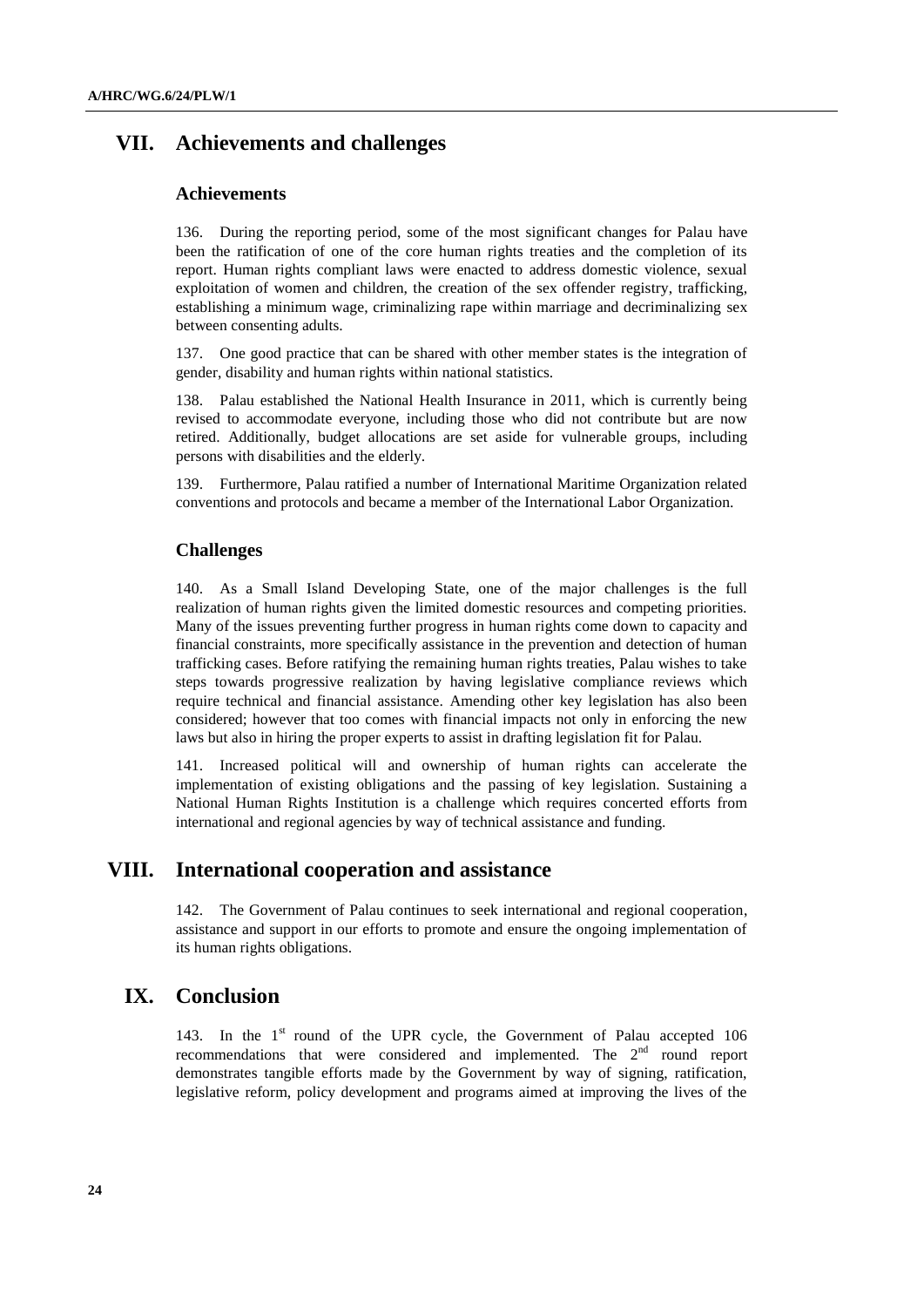# **VII. Achievements and challenges**

## **Achievements**

136. During the reporting period, some of the most significant changes for Palau have been the ratification of one of the core human rights treaties and the completion of its report. Human rights compliant laws were enacted to address domestic violence, sexual exploitation of women and children, the creation of the sex offender registry, trafficking, establishing a minimum wage, criminalizing rape within marriage and decriminalizing sex between consenting adults.

137. One good practice that can be shared with other member states is the integration of gender, disability and human rights within national statistics.

138. Palau established the National Health Insurance in 2011, which is currently being revised to accommodate everyone, including those who did not contribute but are now retired. Additionally, budget allocations are set aside for vulnerable groups, including persons with disabilities and the elderly.

139. Furthermore, Palau ratified a number of International Maritime Organization related conventions and protocols and became a member of the International Labor Organization.

## **Challenges**

140. As a Small Island Developing State, one of the major challenges is the full realization of human rights given the limited domestic resources and competing priorities. Many of the issues preventing further progress in human rights come down to capacity and financial constraints, more specifically assistance in the prevention and detection of human trafficking cases. Before ratifying the remaining human rights treaties, Palau wishes to take steps towards progressive realization by having legislative compliance reviews which require technical and financial assistance. Amending other key legislation has also been considered; however that too comes with financial impacts not only in enforcing the new laws but also in hiring the proper experts to assist in drafting legislation fit for Palau.

141. Increased political will and ownership of human rights can accelerate the implementation of existing obligations and the passing of key legislation. Sustaining a National Human Rights Institution is a challenge which requires concerted efforts from international and regional agencies by way of technical assistance and funding.

## **VIII. International cooperation and assistance**

142. The Government of Palau continues to seek international and regional cooperation, assistance and support in our efforts to promote and ensure the ongoing implementation of its human rights obligations.

# **IX. Conclusion**

143. In the 1<sup>st</sup> round of the UPR cycle, the Government of Palau accepted 106 recommendations that were considered and implemented. The 2<sup>nd</sup> round report demonstrates tangible efforts made by the Government by way of signing, ratification, legislative reform, policy development and programs aimed at improving the lives of the